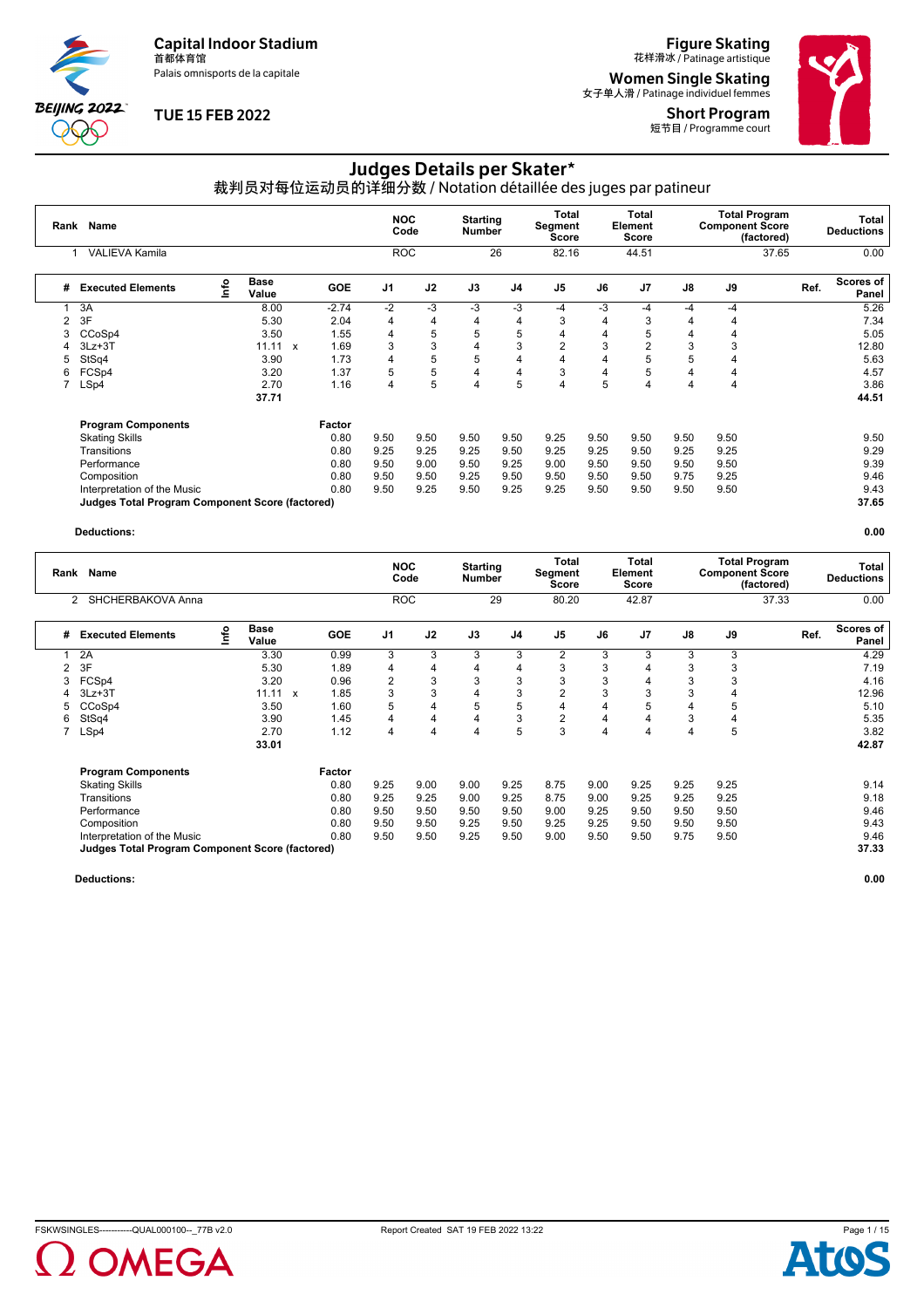Palais omnisports de la capitale

**BEIJING 2022**  $\partial \mathbb{O}$ 

### **TUE 15 FEB 2022**

**Figure Skating**<br>花样滑冰 / Patinage artistique

**Women Single Skating**<br><sub>女子单人滑 / Patinage individuel femmes</sub> Short Program





# Judges Details per Skater\*

裁判员对每位运动员的详细分数 / Notation détaillée des juges par patineur

| Rank | Name                                                   |      |                      |              |            | <b>NOC</b>     | Code | <b>Starting</b><br><b>Number</b> |                | Total<br>Segment<br><b>Score</b> |      | <b>Total</b><br>Element<br>Score |      | <b>Total Program</b><br><b>Component Score</b> | (factored) |      | Total<br><b>Deductions</b> |
|------|--------------------------------------------------------|------|----------------------|--------------|------------|----------------|------|----------------------------------|----------------|----------------------------------|------|----------------------------------|------|------------------------------------------------|------------|------|----------------------------|
|      | <b>VALIEVA Kamila</b>                                  |      |                      |              |            | <b>ROC</b>     |      |                                  | 26             | 82.16                            |      | 44.51                            |      |                                                | 37.65      |      | 0.00                       |
| #    | <b>Executed Elements</b>                               | Info | <b>Base</b><br>Value |              | <b>GOE</b> | J <sub>1</sub> | J2   | J3                               | J <sub>4</sub> | J <sub>5</sub>                   | J6   | J <sub>7</sub>                   | J8   | J9                                             |            | Ref. | Scores of<br>Panel         |
|      | 3A                                                     |      | 8.00                 |              | $-2.74$    | $-2$           | $-3$ | $-3$                             | $-3$           | $-4$                             | -3   | -4                               | -4   | -4                                             |            |      | 5.26                       |
| 2    | 3F                                                     |      | 5.30                 |              | 2.04       | 4              | 4    | 4                                | 4              | 3                                | 4    | 3                                | 4    | 4                                              |            |      | 7.34                       |
| 3    | CCoSp4                                                 |      | 3.50                 |              | 1.55       | 4              | 5    | 5                                | 5              | 4                                | 4    | 5                                | 4    | 4                                              |            |      | 5.05                       |
| 4    | $3Lz + 3T$                                             |      | 11.11                | $\mathbf{x}$ | 1.69       | 3              | 3    | 4                                | 3              | $\overline{2}$                   | 3    | 2                                | 3    | 3                                              |            |      | 12.80                      |
| 5    | StSq4                                                  |      | 3.90                 |              | 1.73       | 4              | 5    | 5                                | 4              | 4                                | 4    | 5                                | 5    | 4                                              |            |      | 5.63                       |
| 6    | FCS <sub>p4</sub>                                      |      | 3.20                 |              | 1.37       | 5              | 5    | 4                                | 4              | 3                                | 4    | 5                                | 4    | 4                                              |            |      | 4.57                       |
|      | LSp4                                                   |      | 2.70                 |              | 1.16       | 4              | 5    | $\overline{4}$                   | 5              | 4                                | 5    | 4                                | 4    | 4                                              |            |      | 3.86                       |
|      |                                                        |      | 37.71                |              |            |                |      |                                  |                |                                  |      |                                  |      |                                                |            |      | 44.51                      |
|      | <b>Program Components</b>                              |      |                      |              | Factor     |                |      |                                  |                |                                  |      |                                  |      |                                                |            |      |                            |
|      | <b>Skating Skills</b>                                  |      |                      |              | 0.80       | 9.50           | 9.50 | 9.50                             | 9.50           | 9.25                             | 9.50 | 9.50                             | 9.50 | 9.50                                           |            |      | 9.50                       |
|      | Transitions                                            |      |                      |              | 0.80       | 9.25           | 9.25 | 9.25                             | 9.50           | 9.25                             | 9.25 | 9.50                             | 9.25 | 9.25                                           |            |      | 9.29                       |
|      | Performance                                            |      |                      |              | 0.80       | 9.50           | 9.00 | 9.50                             | 9.25           | 9.00                             | 9.50 | 9.50                             | 9.50 | 9.50                                           |            |      | 9.39                       |
|      | Composition                                            |      |                      |              | 0.80       | 9.50           | 9.50 | 9.25                             | 9.50           | 9.50                             | 9.50 | 9.50                             | 9.75 | 9.25                                           |            |      | 9.46                       |
|      | Interpretation of the Music                            |      |                      |              | 0.80       | 9.50           | 9.25 | 9.50                             | 9.25           | 9.25                             | 9.50 | 9.50                             | 9.50 | 9.50                                           |            |      | 9.43                       |
|      | <b>Judges Total Program Component Score (factored)</b> |      |                      |              |            |                |      |                                  |                |                                  |      |                                  |      |                                                |            |      | 37.65                      |

#### **Deductions: 0.00**

| Rank | Name                                                   |      |               |              |        |                | <b>NOC</b><br>Code | <b>Starting</b><br><b>Number</b> |                | Total<br>Segment<br>Score |      | Total<br>Element<br><b>Score</b> |      | <b>Total Program</b><br><b>Component Score</b> | (factored) | Total<br><b>Deductions</b> |
|------|--------------------------------------------------------|------|---------------|--------------|--------|----------------|--------------------|----------------------------------|----------------|---------------------------|------|----------------------------------|------|------------------------------------------------|------------|----------------------------|
|      | SHCHERBAKOVA Anna<br>2                                 |      |               |              |        |                | <b>ROC</b>         |                                  | 29             | 80.20                     |      | 42.87                            |      |                                                | 37.33      | 0.00                       |
| #    | <b>Executed Elements</b>                               | Info | Base<br>Value |              | GOE    | J <sub>1</sub> | J2                 | J3                               | J4             | J <sub>5</sub>            | J6   | J <sub>7</sub>                   | J8   | J9                                             | Ref.       | <b>Scores of</b><br>Panel  |
|      | 2A                                                     |      | 3.30          |              | 0.99   | 3              | 3                  | 3                                | 3              | 2                         | 3    | 3                                | 3    | 3                                              |            | 4.29                       |
| 2    | 3F                                                     |      | 5.30          |              | 1.89   | 4              | 4                  | 4                                | $\overline{4}$ | 3                         | 3    |                                  | 3    | 3                                              |            | 7.19                       |
| 3    | FCSp4                                                  |      | 3.20          |              | 0.96   | $\overline{2}$ | 3                  | 3                                | 3              | 3                         | 3    |                                  | 3    |                                                |            | 4.16                       |
|      | $3Lz + 3T$                                             |      | 11.11         | $\mathbf{x}$ | 1.85   | 3              | 3                  | 4                                | 3              | $\overline{2}$            | 3    | 3                                | 3    |                                                |            | 12.96                      |
|      | CCoSp4                                                 |      | 3.50          |              | 1.60   | 5              | 4                  | 5                                | 5              | 4                         | 4    | 5                                | 4    | 5                                              |            | 5.10                       |
| 6    | StSq4                                                  |      | 3.90          |              | 1.45   | 4              | 4                  | 4                                | 3              | $\overline{2}$            | 4    | 4                                | 3    | 4                                              |            | 5.35                       |
|      | LSp4                                                   |      | 2.70          |              | 1.12   | 4              | 4                  | 4                                | 5              | 3                         | 4    | 4                                | 4    | 5                                              |            | 3.82                       |
|      |                                                        |      | 33.01         |              |        |                |                    |                                  |                |                           |      |                                  |      |                                                |            | 42.87                      |
|      | <b>Program Components</b>                              |      |               |              | Factor |                |                    |                                  |                |                           |      |                                  |      |                                                |            |                            |
|      | <b>Skating Skills</b>                                  |      |               |              | 0.80   | 9.25           | 9.00               | 9.00                             | 9.25           | 8.75                      | 9.00 | 9.25                             | 9.25 | 9.25                                           |            | 9.14                       |
|      | Transitions                                            |      |               |              | 0.80   | 9.25           | 9.25               | 9.00                             | 9.25           | 8.75                      | 9.00 | 9.25                             | 9.25 | 9.25                                           |            | 9.18                       |
|      | Performance                                            |      |               |              | 0.80   | 9.50           | 9.50               | 9.50                             | 9.50           | 9.00                      | 9.25 | 9.50                             | 9.50 | 9.50                                           |            | 9.46                       |
|      | Composition                                            |      |               |              | 0.80   | 9.50           | 9.50               | 9.25                             | 9.50           | 9.25                      | 9.25 | 9.50                             | 9.50 | 9.50                                           |            | 9.43                       |
|      | Interpretation of the Music                            |      |               |              | 0.80   | 9.50           | 9.50               | 9.25                             | 9.50           | 9.00                      | 9.50 | 9.50                             | 9.75 | 9.50                                           |            | 9.46                       |
|      | <b>Judges Total Program Component Score (factored)</b> |      |               |              |        |                |                    |                                  |                |                           |      |                                  |      |                                                |            | 37.33                      |

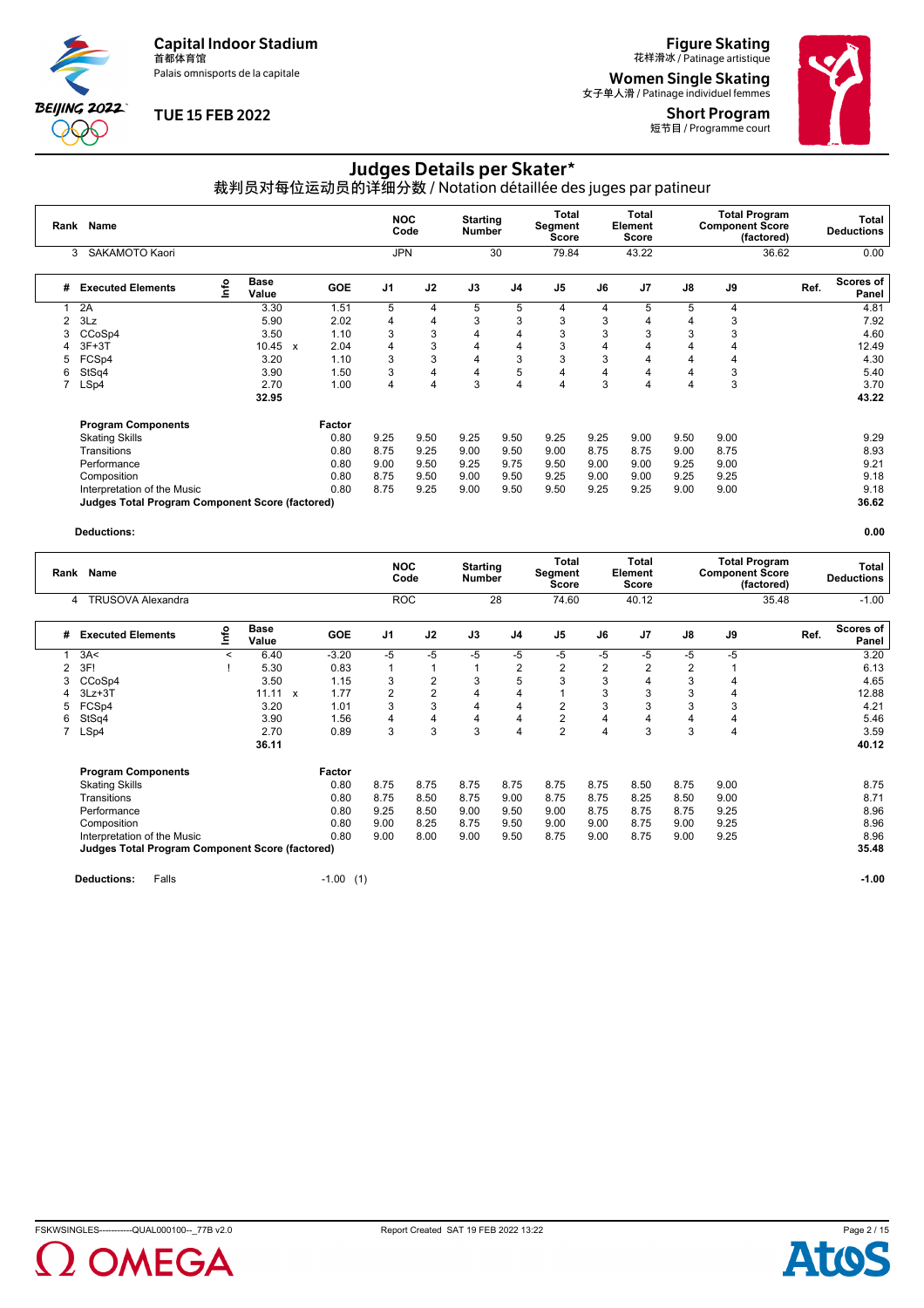Palais omnisports de la capitale



# **TUE 15 FEB 2022**

**Figure Skating**<br>花样滑冰 / Patinage artistique

**Women Single Skating**<br><sub>女子单人滑 / Patinage individuel femmes</sub>

Short Program 短节目 / Programme court



# Judges Details per Skater\*

裁判员对每位运动员的详细分数 / Notation détaillée des juges par patineur

| Rank | <b>Name</b>                                     |               |                      |                           |            | <b>NOC</b>     | Code           | <b>Starting</b><br><b>Number</b> |                         | Total<br>Segment<br><b>Score</b> |      | Total<br>Element<br><b>Score</b> |      | <b>Total Program</b><br><b>Component Score</b> | (factored) | Total<br><b>Deductions</b> |
|------|-------------------------------------------------|---------------|----------------------|---------------------------|------------|----------------|----------------|----------------------------------|-------------------------|----------------------------------|------|----------------------------------|------|------------------------------------------------|------------|----------------------------|
|      | SAKAMOTO Kaori<br>3                             |               |                      |                           |            | <b>JPN</b>     |                |                                  | 30                      | 79.84                            |      | 43.22                            |      |                                                | 36.62      | 0.00                       |
| #    | <b>Executed Elements</b>                        | $\frac{1}{2}$ | <b>Base</b><br>Value |                           | <b>GOE</b> | J <sub>1</sub> | J2             | J3                               | J <sub>4</sub>          | J <sub>5</sub>                   | J6   | J <sub>7</sub>                   | J8   | J9                                             | Ref.       | Scores of<br>Panel         |
|      | 2A                                              |               | 3.30                 |                           | 1.51       | 5              | 4              | 5                                | 5                       | 4                                | 4    | 5                                | 5    | 4                                              |            | 4.81                       |
|      | 3Lz                                             |               | 5.90                 |                           | 2.02       | 4              | 4              | 3                                | 3                       | 3                                | 3    | 4                                | 4    | 3                                              |            | 7.92                       |
|      | CCoSp4                                          |               | 3.50                 |                           | 1.10       | 3              | 3              | 4                                | $\overline{\mathbf{4}}$ | 3                                | 3    | 3                                | 3    | 3                                              |            | 4.60                       |
|      | $3F+3T$                                         |               | 10.45                | $\boldsymbol{\mathsf{x}}$ | 2.04       | 4              | 3              | 4                                | 4                       | 3                                | 4    | 4                                |      | 4                                              |            | 12.49                      |
| 5    | FCSp4                                           |               | 3.20                 |                           | 1.10       | 3              | 3              | 4                                | 3                       | 3                                | 3    | 4                                | 4    | 4                                              |            | 4.30                       |
| 6    | StSq4                                           |               | 3.90                 |                           | 1.50       | 3              | 4              | 4                                | 5                       | 4                                | 4    | 4                                | 4    | 3                                              |            | 5.40                       |
|      | LSp4                                            |               | 2.70                 |                           | 1.00       | 4              | $\overline{4}$ | 3                                | $\overline{4}$          | 4                                | 3    | 4                                | 4    | 3                                              |            | 3.70                       |
|      |                                                 |               | 32.95                |                           |            |                |                |                                  |                         |                                  |      |                                  |      |                                                |            | 43.22                      |
|      | <b>Program Components</b>                       |               |                      |                           | Factor     |                |                |                                  |                         |                                  |      |                                  |      |                                                |            |                            |
|      | <b>Skating Skills</b>                           |               |                      |                           | 0.80       | 9.25           | 9.50           | 9.25                             | 9.50                    | 9.25                             | 9.25 | 9.00                             | 9.50 | 9.00                                           |            | 9.29                       |
|      | Transitions                                     |               |                      |                           | 0.80       | 8.75           | 9.25           | 9.00                             | 9.50                    | 9.00                             | 8.75 | 8.75                             | 9.00 | 8.75                                           |            | 8.93                       |
|      | Performance                                     |               |                      |                           | 0.80       | 9.00           | 9.50           | 9.25                             | 9.75                    | 9.50                             | 9.00 | 9.00                             | 9.25 | 9.00                                           |            | 9.21                       |
|      | Composition                                     |               |                      |                           | 0.80       | 8.75           | 9.50           | 9.00                             | 9.50                    | 9.25                             | 9.00 | 9.00                             | 9.25 | 9.25                                           |            | 9.18                       |
|      | Interpretation of the Music                     |               |                      |                           | 0.80       | 8.75           | 9.25           | 9.00                             | 9.50                    | 9.50                             | 9.25 | 9.25                             | 9.00 | 9.00                                           |            | 9.18                       |
|      | Judges Total Program Component Score (factored) |               |                      |                           |            |                |                |                                  |                         |                                  |      |                                  |      |                                                |            | 36.62                      |

#### **Deductions: 0.00**

| Rank | <b>Name</b>                                            |         |                      |              |            |                | <b>NOC</b><br>Code | <b>Starting</b><br><b>Number</b> |                | Total<br>Segment<br>Score |      | Total<br>Element<br>Score |      | <b>Component Score</b> | <b>Total Program</b><br>(factored) | Total<br><b>Deductions</b>        |
|------|--------------------------------------------------------|---------|----------------------|--------------|------------|----------------|--------------------|----------------------------------|----------------|---------------------------|------|---------------------------|------|------------------------|------------------------------------|-----------------------------------|
|      | TRUSOVA Alexandra<br>4                                 |         |                      |              |            |                | <b>ROC</b>         |                                  | 28             | 74.60                     |      | 40.12                     |      |                        | 35.48                              | $-1.00$                           |
| #    | <b>Executed Elements</b>                               | ۴o      | <b>Base</b><br>Value |              | <b>GOE</b> | J <sub>1</sub> | J2                 | J3                               | J <sub>4</sub> | J <sub>5</sub>            | J6   | J <sub>7</sub>            | J8   | J9                     |                                    | <b>Scores of</b><br>Ref.<br>Panel |
|      | 3A<                                                    | $\prec$ | 6.40                 |              | $-3.20$    | -5             | $-5$               | -5                               | -5             | $-5$                      | $-5$ | -5                        | -5   | -5                     |                                    | 3.20                              |
| 2    | 3F!                                                    |         | 5.30                 |              | 0.83       |                |                    |                                  | 2              | 2                         | 2    | 2                         | 2    |                        |                                    | 6.13                              |
| 3    | CCoSp4                                                 |         | 3.50                 |              | 1.15       | 3              | 2                  | 3                                | 5              | 3                         | 3    | 4                         | 3    |                        |                                    | 4.65                              |
|      | $3Lz + 3T$                                             |         | 11.11                | $\mathsf{x}$ | 1.77       | $\overline{2}$ | $\overline{2}$     | 4                                | 4              |                           | 3    | 3                         | 3    | 4                      |                                    | 12.88                             |
| 5    | FCSp4                                                  |         | 3.20                 |              | 1.01       | 3              | 3                  | 4                                | 4              | $\overline{2}$            | 3    | 3                         | 3    | 3                      |                                    | 4.21                              |
| 6    | StSq4                                                  |         | 3.90                 |              | 1.56       | 4              | 4                  | 4                                | 4              | 2                         | 4    | 4                         | 4    | 4                      |                                    | 5.46                              |
|      | LSp4                                                   |         | 2.70                 |              | 0.89       | 3              | 3                  | 3                                | $\overline{4}$ | $\overline{2}$            | 4    | 3                         | 3    | $\overline{4}$         |                                    | 3.59                              |
|      |                                                        |         | 36.11                |              |            |                |                    |                                  |                |                           |      |                           |      |                        |                                    | 40.12                             |
|      | <b>Program Components</b>                              |         |                      |              | Factor     |                |                    |                                  |                |                           |      |                           |      |                        |                                    |                                   |
|      | <b>Skating Skills</b>                                  |         |                      |              | 0.80       | 8.75           | 8.75               | 8.75                             | 8.75           | 8.75                      | 8.75 | 8.50                      | 8.75 | 9.00                   |                                    | 8.75                              |
|      | Transitions                                            |         |                      |              | 0.80       | 8.75           | 8.50               | 8.75                             | 9.00           | 8.75                      | 8.75 | 8.25                      | 8.50 | 9.00                   |                                    | 8.71                              |
|      | Performance                                            |         |                      |              | 0.80       | 9.25           | 8.50               | 9.00                             | 9.50           | 9.00                      | 8.75 | 8.75                      | 8.75 | 9.25                   |                                    | 8.96                              |
|      | Composition                                            |         |                      |              | 0.80       | 9.00           | 8.25               | 8.75                             | 9.50           | 9.00                      | 9.00 | 8.75                      | 9.00 | 9.25                   |                                    | 8.96                              |
|      | Interpretation of the Music                            |         |                      |              | 0.80       | 9.00           | 8.00               | 9.00                             | 9.50           | 8.75                      | 9.00 | 8.75                      | 9.00 | 9.25                   |                                    | 8.96                              |
|      | <b>Judges Total Program Component Score (factored)</b> |         |                      |              |            |                |                    |                                  |                |                           |      |                           |      |                        |                                    | 35.48                             |
|      |                                                        |         |                      |              |            |                |                    |                                  |                |                           |      |                           |      |                        |                                    |                                   |

**Deductions:** Falls **-1.00** (1) **-1.00 -1.00 -1.00 -1.00 -1.00 -1.00 -1.00 -1.00 -1.00 -1.00 -1.00** 



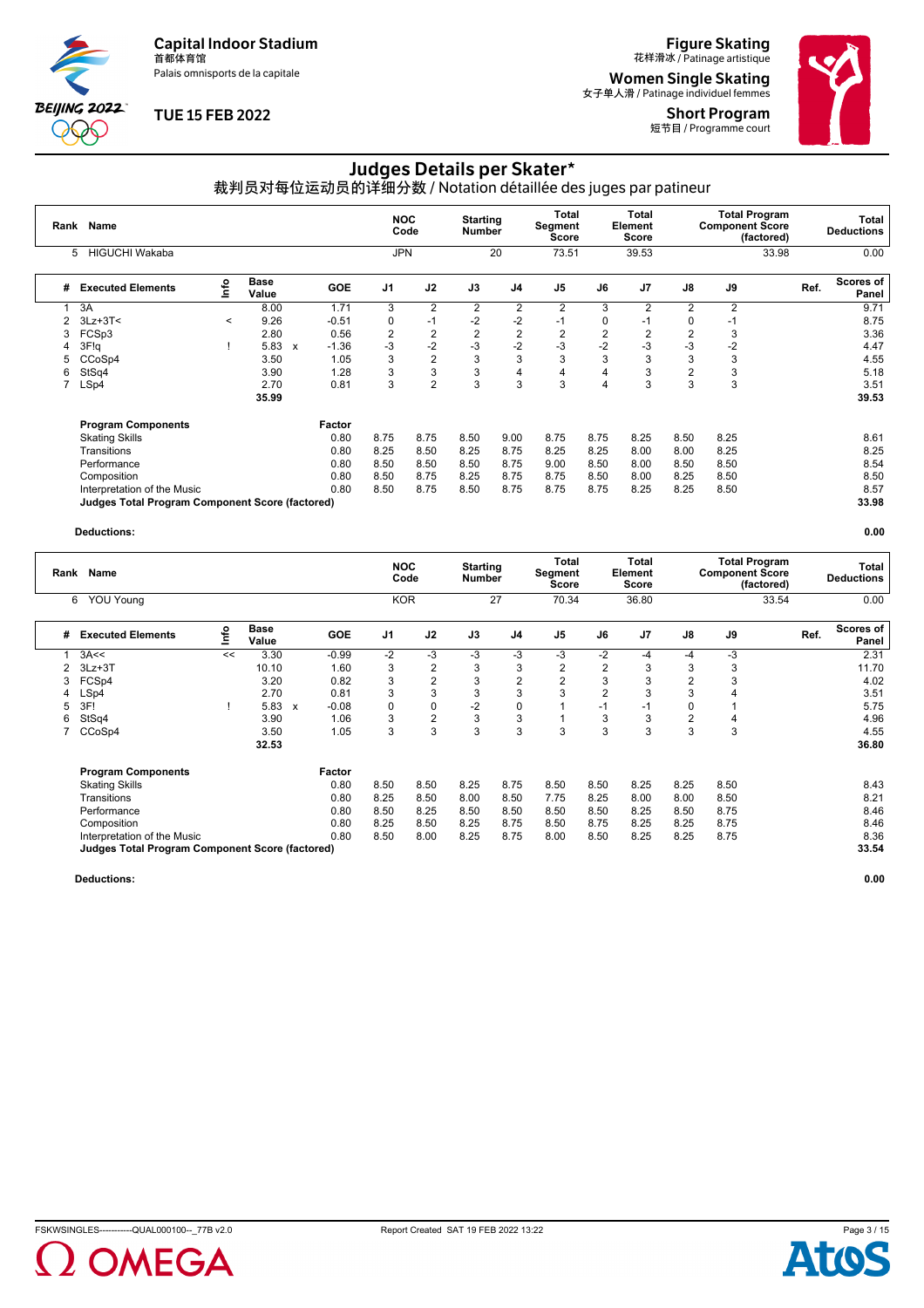Palais omnisports de la capitale



# **TUE 15 FEB 2022**

**Figure Skating**<br>花样滑冰 / Patinage artistique

**Women Single Skating**<br><sub>女子单人滑 / Patinage individuel femmes</sub>

Short Program 短节目 / Programme court



# Judges Details per Skater\*

裁判员对每位运动员的详细分数 / Notation détaillée des juges par patineur

| Rank | Name                                            |         |                      |                           |            | <b>NOC</b>     | Code           | <b>Starting</b><br><b>Number</b> |                | Total<br>Segment<br>Score |                | Total<br>Element<br>Score |                | <b>Total Program</b><br><b>Component Score</b> | (factored) | Total<br><b>Deductions</b> |
|------|-------------------------------------------------|---------|----------------------|---------------------------|------------|----------------|----------------|----------------------------------|----------------|---------------------------|----------------|---------------------------|----------------|------------------------------------------------|------------|----------------------------|
|      | <b>HIGUCHI Wakaba</b><br>5.                     |         |                      |                           |            | <b>JPN</b>     |                |                                  | 20             | 73.51                     |                | 39.53                     |                |                                                | 33.98      | 0.00                       |
| #    | <b>Executed Elements</b>                        | ١nfo    | <b>Base</b><br>Value |                           | <b>GOE</b> | J <sub>1</sub> | J2             | J3                               | J <sub>4</sub> | J <sub>5</sub>            | J6             | J <sub>7</sub>            | J8             | J9                                             | Ref.       | Scores of<br>Panel         |
|      | 3A                                              |         | 8.00                 |                           | 1.71       | 3              | 2              | $\overline{2}$                   | $\overline{2}$ | $\overline{2}$            | 3              | $\overline{2}$            | $\overline{2}$ | 2                                              |            | 9.71                       |
|      | $3Lz + 3T <$                                    | $\,<\,$ | 9.26                 |                           | $-0.51$    | 0              | $-1$           | $-2$                             | $-2$           | $-1$                      | 0              | $-1$                      | 0              | $-1$                                           |            | 8.75                       |
| 3    | FCSp3                                           |         | 2.80                 |                           | 0.56       | 2              | $\overline{2}$ | $\overline{2}$                   | $\overline{2}$ | $\overline{2}$            | $\overline{2}$ | 2                         | 2              | 3                                              |            | 3.36                       |
| 4    | 3F!q                                            |         | 5.83                 | $\boldsymbol{\mathsf{x}}$ | $-1.36$    | -3             | $-2$           | $-3$                             | $-2$           | -3                        | $-2$           | -3                        | $-3$           | $-2$                                           |            | 4.47                       |
| 5    | CCoSp4                                          |         | 3.50                 |                           | 1.05       | 3              | $\overline{2}$ | 3                                | 3              | 3                         | 3              | 3                         | 3              | 3                                              |            | 4.55                       |
| 6    | StSq4                                           |         | 3.90                 |                           | 1.28       | 3              | 3              | 3                                | 4              | 4                         | 4              | 3                         | 2              | 3                                              |            | 5.18                       |
| 7    | LSp4                                            |         | 2.70                 |                           | 0.81       | 3              | $\overline{2}$ | 3                                | 3              | 3                         | 4              | 3                         | 3              | 3                                              |            | 3.51                       |
|      |                                                 |         | 35.99                |                           |            |                |                |                                  |                |                           |                |                           |                |                                                |            | 39.53                      |
|      | <b>Program Components</b>                       |         |                      |                           | Factor     |                |                |                                  |                |                           |                |                           |                |                                                |            |                            |
|      | <b>Skating Skills</b>                           |         |                      |                           | 0.80       | 8.75           | 8.75           | 8.50                             | 9.00           | 8.75                      | 8.75           | 8.25                      | 8.50           | 8.25                                           |            | 8.61                       |
|      | Transitions                                     |         |                      |                           | 0.80       | 8.25           | 8.50           | 8.25                             | 8.75           | 8.25                      | 8.25           | 8.00                      | 8.00           | 8.25                                           |            | 8.25                       |
|      | Performance                                     |         |                      |                           | 0.80       | 8.50           | 8.50           | 8.50                             | 8.75           | 9.00                      | 8.50           | 8.00                      | 8.50           | 8.50                                           |            | 8.54                       |
|      | Composition                                     |         |                      |                           | 0.80       | 8.50           | 8.75           | 8.25                             | 8.75           | 8.75                      | 8.50           | 8.00                      | 8.25           | 8.50                                           |            | 8.50                       |
|      | Interpretation of the Music                     |         |                      |                           | 0.80       | 8.50           | 8.75           | 8.50                             | 8.75           | 8.75                      | 8.75           | 8.25                      | 8.25           | 8.50                                           |            | 8.57                       |
|      | Judges Total Program Component Score (factored) |         |                      |                           |            |                |                |                                  |                |                           |                |                           |                |                                                |            | 33.98                      |

#### **Deductions: 0.00**

| Rank | <b>Name</b>                                     |    |                      |   |            | <b>NOC</b>     | Code           | <b>Starting</b><br><b>Number</b> |                | Total<br>Segment<br>Score |                | <b>Total</b><br>Element<br><b>Score</b> |                | <b>Total Program</b><br><b>Component Score</b> | (factored) | Total<br><b>Deductions</b>        |
|------|-------------------------------------------------|----|----------------------|---|------------|----------------|----------------|----------------------------------|----------------|---------------------------|----------------|-----------------------------------------|----------------|------------------------------------------------|------------|-----------------------------------|
|      | <b>YOU Young</b><br>6                           |    |                      |   |            | <b>KOR</b>     |                |                                  | 27             | 70.34                     |                | 36.80                                   |                |                                                | 33.54      | 0.00                              |
| #    | <b>Executed Elements</b>                        | ۴ô | <b>Base</b><br>Value |   | <b>GOE</b> | J <sub>1</sub> | J2             | J3                               | J4             | J <sub>5</sub>            | J6             | J7                                      | J8             | J9                                             |            | <b>Scores of</b><br>Ref.<br>Panel |
|      | 3A<<                                            | << | 3.30                 |   | $-0.99$    | $-2$           | $-3$           | $-3$                             | $-3$           | $-3$                      | $-2$           | -4                                      | -4             | $-3$                                           |            | 2.31                              |
| 2    | $3Lz + 3T$                                      |    | 10.10                |   | 1.60       | 3              | $\overline{2}$ | 3                                | 3              | 2                         | 2              | 3                                       | 3              | 3                                              |            | 11.70                             |
| 3    | FCSp4                                           |    | 3.20                 |   | 0.82       | 3              | $\overline{2}$ | 3                                | $\overline{2}$ | $\overline{2}$            | 3              | 3                                       | $\overline{2}$ | 3                                              |            | 4.02                              |
| 4    | LSp4                                            |    | 2.70                 |   | 0.81       | 3              | 3              | 3                                | 3              | 3                         | $\overline{2}$ | 3                                       | 3              |                                                |            | 3.51                              |
|      | 3F!                                             |    | 5.83                 | x | $-0.08$    | 0              | 0              | $-2$                             | 0              |                           | $-1$           | $-1$                                    | 0              |                                                |            | 5.75                              |
| 6    | StSq4                                           |    | 3.90                 |   | 1.06       | 3              | $\overline{2}$ | 3                                | 3              |                           | 3              | 3                                       | 2              | 4                                              |            | 4.96                              |
|      | CCoSp4                                          |    | 3.50                 |   | 1.05       | 3              | 3              | 3                                | 3              | 3                         | 3              | 3                                       | 3              | 3                                              |            | 4.55                              |
|      |                                                 |    | 32.53                |   |            |                |                |                                  |                |                           |                |                                         |                |                                                |            | 36.80                             |
|      | <b>Program Components</b>                       |    |                      |   | Factor     |                |                |                                  |                |                           |                |                                         |                |                                                |            |                                   |
|      | <b>Skating Skills</b>                           |    |                      |   | 0.80       | 8.50           | 8.50           | 8.25                             | 8.75           | 8.50                      | 8.50           | 8.25                                    | 8.25           | 8.50                                           |            | 8.43                              |
|      | Transitions                                     |    |                      |   | 0.80       | 8.25           | 8.50           | 8.00                             | 8.50           | 7.75                      | 8.25           | 8.00                                    | 8.00           | 8.50                                           |            | 8.21                              |
|      | Performance                                     |    |                      |   | 0.80       | 8.50           | 8.25           | 8.50                             | 8.50           | 8.50                      | 8.50           | 8.25                                    | 8.50           | 8.75                                           |            | 8.46                              |
|      | Composition                                     |    |                      |   | 0.80       | 8.25           | 8.50           | 8.25                             | 8.75           | 8.50                      | 8.75           | 8.25                                    | 8.25           | 8.75                                           |            | 8.46                              |
|      | Interpretation of the Music                     |    |                      |   | 0.80       | 8.50           | 8.00           | 8.25                             | 8.75           | 8.00                      | 8.50           | 8.25                                    | 8.25           | 8.75                                           |            | 8.36                              |
|      | Judges Total Program Component Score (factored) |    |                      |   |            |                |                |                                  |                |                           |                |                                         |                |                                                |            | 33.54                             |



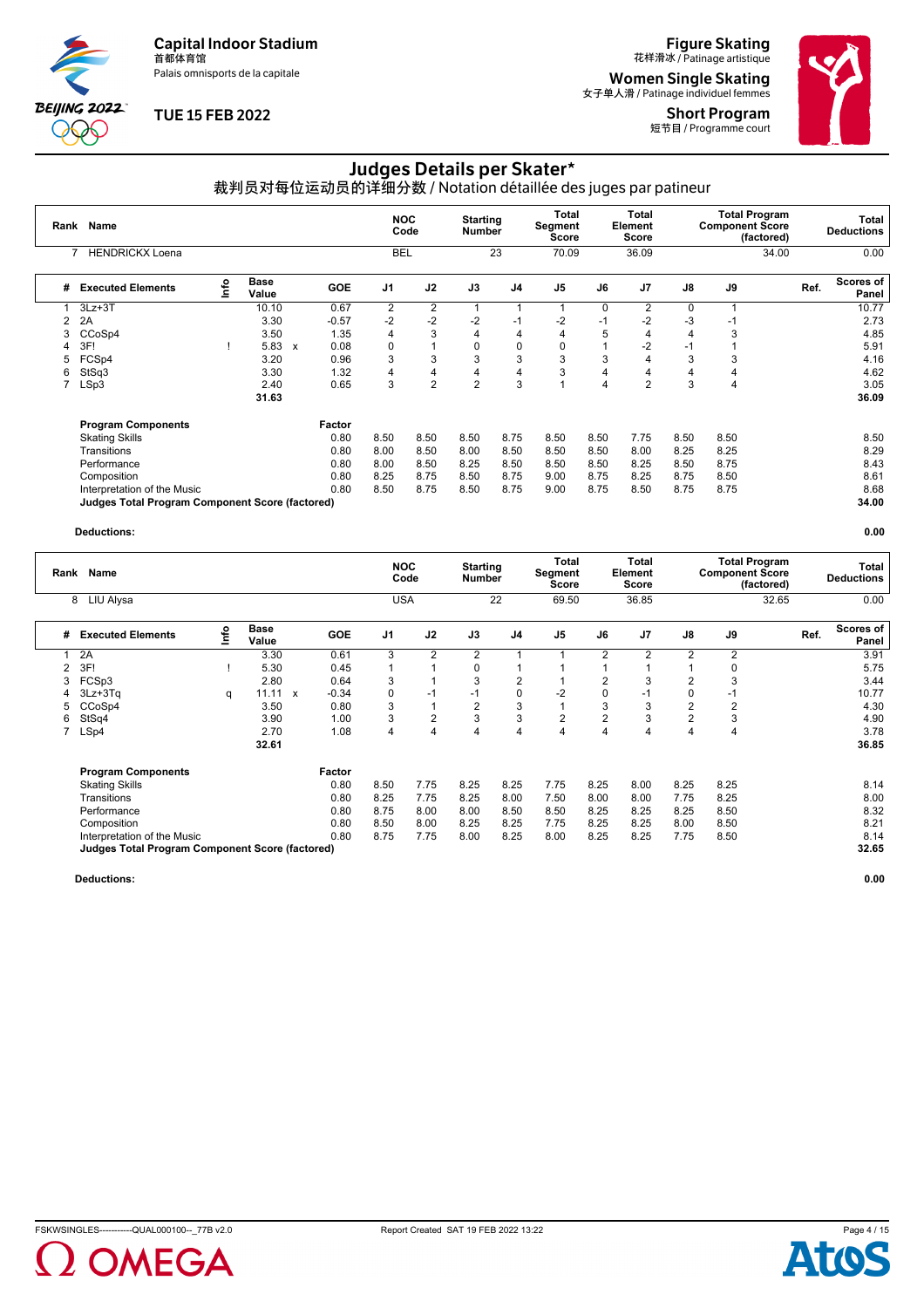Palais omnisports de la capitale

**BEIJING 2022**  $\partial \mathbb{O}$ 

### **TUE 15 FEB 2022**

**Figure Skating**<br>花样滑冰 / Patinage artistique

**Women Single Skating**<br><sub>女子单人滑 / Patinage individuel femmes</sub> Short Program





# Judges Details per Skater\*

裁判员对每位运动员的详细分数 / Notation détaillée des juges par patineur

| Rank | Name                                                   |                                  |                      |                           |            | <b>NOC</b>     | Code           | <b>Starting</b><br><b>Number</b> |                | Total<br>Segment<br><b>Score</b> |                | Total<br>Element<br>Score |          | <b>Total Program</b><br><b>Component Score</b> | (factored) |      | Total<br><b>Deductions</b> |
|------|--------------------------------------------------------|----------------------------------|----------------------|---------------------------|------------|----------------|----------------|----------------------------------|----------------|----------------------------------|----------------|---------------------------|----------|------------------------------------------------|------------|------|----------------------------|
|      | <b>HENDRICKX Loena</b>                                 |                                  |                      |                           |            | <b>BEL</b>     |                |                                  | 23             | 70.09                            |                | 36.09                     |          |                                                | 34.00      |      | 0.00                       |
| #    | <b>Executed Elements</b>                               | $\mathop{\mathsf{Irr}}\nolimits$ | <b>Base</b><br>Value |                           | <b>GOE</b> | J <sub>1</sub> | J2             | J3                               | J <sub>4</sub> | J <sub>5</sub>                   | J6             | J <sub>7</sub>            | J8       | J9                                             |            | Ref. | Scores of<br>Panel         |
|      | $3Lz + 3T$                                             |                                  | 10.10                |                           | 0.67       | 2              | $\overline{2}$ |                                  |                |                                  | 0              | $\overline{2}$            | $\Omega$ |                                                |            |      | 10.77                      |
|      | 2A                                                     |                                  | 3.30                 |                           | $-0.57$    | $-2$           | $-2$           | $-2$                             | $-1$           | $-2$                             | $-1$           | $-2$                      | $-3$     | -1                                             |            |      | 2.73                       |
|      | CCoSp4                                                 |                                  | 3.50                 |                           | 1.35       | 4              | 3              | $\overline{4}$                   | 4              | 4                                | 5              | 4                         | 4        | 3                                              |            |      | 4.85                       |
| 4    | 3F!                                                    |                                  | 5.83                 | $\boldsymbol{\mathsf{x}}$ | 0.08       | $\Omega$       |                | 0                                | 0              | 0                                |                | $-2$                      | -1       |                                                |            |      | 5.91                       |
| 5    | FCSp4                                                  |                                  | 3.20                 |                           | 0.96       | 3              | 3              | 3                                | 3              | 3                                | 3              | 4                         | 3        | 3                                              |            |      | 4.16                       |
| 6    | StSq3                                                  |                                  | 3.30                 |                           | 1.32       | 4              | 4              | 4                                | 4              | 3                                | 4              | 4                         | 4        | 4                                              |            |      | 4.62                       |
|      | LSp3                                                   |                                  | 2.40                 |                           | 0.65       | 3              | $\overline{2}$ | $\overline{2}$                   | 3              |                                  | $\overline{4}$ | 2                         | 3        | 4                                              |            |      | 3.05                       |
|      |                                                        |                                  | 31.63                |                           |            |                |                |                                  |                |                                  |                |                           |          |                                                |            |      | 36.09                      |
|      | <b>Program Components</b>                              |                                  |                      |                           | Factor     |                |                |                                  |                |                                  |                |                           |          |                                                |            |      |                            |
|      | <b>Skating Skills</b>                                  |                                  |                      |                           | 0.80       | 8.50           | 8.50           | 8.50                             | 8.75           | 8.50                             | 8.50           | 7.75                      | 8.50     | 8.50                                           |            |      | 8.50                       |
|      | Transitions                                            |                                  |                      |                           | 0.80       | 8.00           | 8.50           | 8.00                             | 8.50           | 8.50                             | 8.50           | 8.00                      | 8.25     | 8.25                                           |            |      | 8.29                       |
|      | Performance                                            |                                  |                      |                           | 0.80       | 8.00           | 8.50           | 8.25                             | 8.50           | 8.50                             | 8.50           | 8.25                      | 8.50     | 8.75                                           |            |      | 8.43                       |
|      | Composition                                            |                                  |                      |                           | 0.80       | 8.25           | 8.75           | 8.50                             | 8.75           | 9.00                             | 8.75           | 8.25                      | 8.75     | 8.50                                           |            |      | 8.61                       |
|      | Interpretation of the Music                            |                                  |                      |                           | 0.80       | 8.50           | 8.75           | 8.50                             | 8.75           | 9.00                             | 8.75           | 8.50                      | 8.75     | 8.75                                           |            |      | 8.68                       |
|      | <b>Judges Total Program Component Score (factored)</b> |                                  |                      |                           |            |                |                |                                  |                |                                  |                |                           |          |                                                |            |      | 34.00                      |

#### **Deductions: 0.00**

| Rank | Name                                            |      |               |                           |            | <b>NOC</b>     | Code           | <b>Starting</b><br>Number |                | Total<br>Segment<br>Score |                | Total<br>Element<br>Score |                | <b>Total Program</b><br><b>Component Score</b> | (factored) | Total<br><b>Deductions</b> |
|------|-------------------------------------------------|------|---------------|---------------------------|------------|----------------|----------------|---------------------------|----------------|---------------------------|----------------|---------------------------|----------------|------------------------------------------------|------------|----------------------------|
|      | LIU Alysa<br>8                                  |      |               |                           |            | <b>USA</b>     |                |                           | 22             | 69.50                     |                | 36.85                     |                |                                                | 32.65      | 0.00                       |
| #    | <b>Executed Elements</b>                        | ١nfo | Base<br>Value |                           | <b>GOE</b> | J <sub>1</sub> | J2             | J3                        | J4             | J <sub>5</sub>            | J6             | J <sub>7</sub>            | J8             | J9                                             | Ref.       | Scores of<br>Panel         |
|      | 2A                                              |      | 3.30          |                           | 0.61       | 3              | 2              | $\overline{2}$            |                |                           | $\overline{2}$ | 2                         | $\overline{2}$ | 2                                              |            | 3.91                       |
|      | 3F!                                             |      | 5.30          |                           | 0.45       |                |                | 0                         |                |                           |                |                           |                | $\Omega$                                       |            | 5.75                       |
| 3    | FCSp3                                           |      | 2.80          |                           | 0.64       | 3              |                | 3                         | $\overline{2}$ |                           | 2              | 3                         | 2              |                                                |            | 3.44                       |
| 4    | $3Lz + 3Tq$                                     | q    | 11.11         | $\boldsymbol{\mathsf{x}}$ | $-0.34$    | 0              | $-1$           | $-1$                      | 0              | $-2$                      | 0              | $-1$                      |                | -1                                             |            | 10.77                      |
| 5    | CCoSp4                                          |      | 3.50          |                           | 0.80       | 3              |                | 2                         | 3              | ۸                         | 3              | 3                         | 2              | 2                                              |            | 4.30                       |
| 6    | StSq4                                           |      | 3.90          |                           | 1.00       | 3              | $\overline{2}$ | 3                         | 3              | $\overline{2}$            | $\overline{2}$ | 3                         | $\overline{2}$ | 3                                              |            | 4.90                       |
|      | LSp4                                            |      | 2.70          |                           | 1.08       | 4              | 4              | 4                         | 4              | 4                         | 4              | 4                         | 4              | 4                                              |            | 3.78                       |
|      |                                                 |      | 32.61         |                           |            |                |                |                           |                |                           |                |                           |                |                                                |            | 36.85                      |
|      | <b>Program Components</b>                       |      |               |                           | Factor     |                |                |                           |                |                           |                |                           |                |                                                |            |                            |
|      | <b>Skating Skills</b>                           |      |               |                           | 0.80       | 8.50           | 7.75           | 8.25                      | 8.25           | 7.75                      | 8.25           | 8.00                      | 8.25           | 8.25                                           |            | 8.14                       |
|      | Transitions                                     |      |               |                           | 0.80       | 8.25           | 7.75           | 8.25                      | 8.00           | 7.50                      | 8.00           | 8.00                      | 7.75           | 8.25                                           |            | 8.00                       |
|      | Performance                                     |      |               |                           | 0.80       | 8.75           | 8.00           | 8.00                      | 8.50           | 8.50                      | 8.25           | 8.25                      | 8.25           | 8.50                                           |            | 8.32                       |
|      | Composition                                     |      |               |                           | 0.80       | 8.50           | 8.00           | 8.25                      | 8.25           | 7.75                      | 8.25           | 8.25                      | 8.00           | 8.50                                           |            | 8.21                       |
|      | Interpretation of the Music                     |      |               |                           | 0.80       | 8.75           | 7.75           | 8.00                      | 8.25           | 8.00                      | 8.25           | 8.25                      | 7.75           | 8.50                                           |            | 8.14                       |
|      | Judges Total Program Component Score (factored) |      |               |                           |            |                |                |                           |                |                           |                |                           |                |                                                |            | 32.65                      |



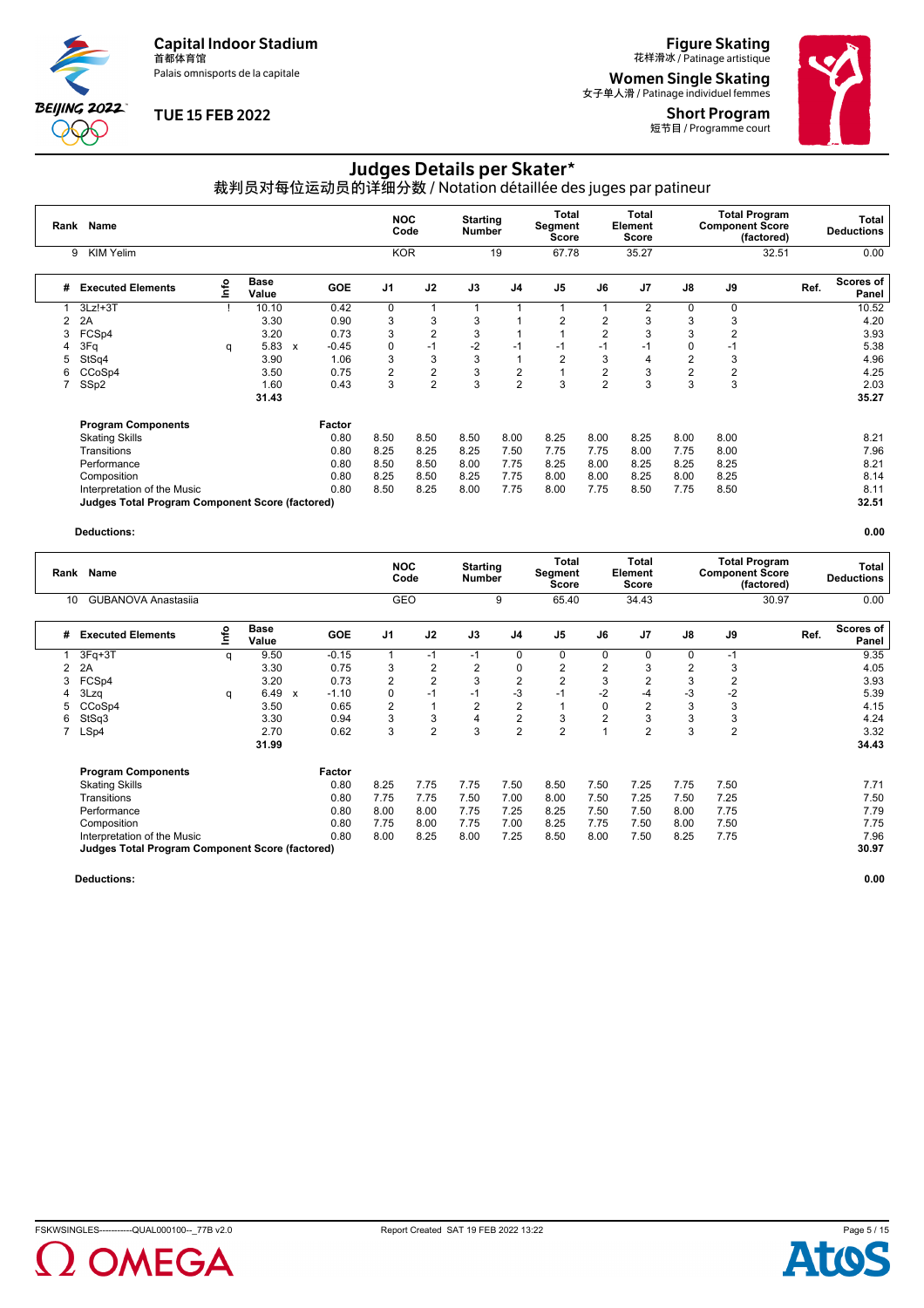Palais omnisports de la capitale

**BEIJING 2022**  $\partial \mathbb{O}$ 

## **TUE 15 FEB 2022**

# **Figure Skating**<br>花样滑冰 / Patinage artistique

**Women Single Skating**<br><sub>女子单人滑 / Patinage individuel femmes</sub>

Short Program 短节目 / Programme court



# Judges Details per Skater\*

裁判员对每位运动员的详细分数 / Notation détaillée des juges par patineur

| Rank | <b>Name</b>                                     |      |                      |              |            | <b>NOC</b>     | Code           | <b>Starting</b><br><b>Number</b> |                | Total<br>Segment<br>Score |                | <b>Total</b><br>Element<br>Score |                | <b>Total Program</b><br><b>Component Score</b> | (factored) | Total<br><b>Deductions</b> |
|------|-------------------------------------------------|------|----------------------|--------------|------------|----------------|----------------|----------------------------------|----------------|---------------------------|----------------|----------------------------------|----------------|------------------------------------------------|------------|----------------------------|
|      | <b>KIM Yelim</b><br>9                           |      |                      |              |            | <b>KOR</b>     |                |                                  | 19             | 67.78                     |                | 35.27                            |                |                                                | 32.51      | 0.00                       |
| #    | <b>Executed Elements</b>                        | ١nfo | <b>Base</b><br>Value |              | <b>GOE</b> | J <sub>1</sub> | J2             | J3                               | J4             | J <sub>5</sub>            | J6             | J <sub>7</sub>                   | J8             | J9                                             |            | Scores of<br>Ref.<br>Panel |
|      | $3Lz! + 3T$                                     |      | 10.10                |              | 0.42       | $\Omega$       | -1             |                                  |                |                           |                | $\overline{2}$                   | 0              | 0                                              |            | 10.52                      |
| 2    | 2A                                              |      | 3.30                 |              | 0.90       | 3              | 3              | 3                                |                | $\overline{2}$            | $\overline{2}$ | 3                                | 3              | 3                                              |            | 4.20                       |
| 3    | FCSp4                                           |      | 3.20                 |              | 0.73       | 3              | $\overline{2}$ | 3                                |                |                           | $\overline{2}$ | 3                                | 3              | $\overline{2}$                                 |            | 3.93                       |
|      | 3Fq                                             | q    | 5.83                 | $\mathsf{x}$ | $-0.45$    | 0              | $-1$           | $-2$                             | $-1$           | $-1$                      | -1             | -1                               | $\Omega$       | $-1$                                           |            | 5.38                       |
| 5    | StSq4                                           |      | 3.90                 |              | 1.06       | 3              | 3              | 3                                |                | $\overline{2}$            | 3              | 4                                | $\overline{2}$ | 3                                              |            | 4.96                       |
| 6    | CCoSp4                                          |      | 3.50                 |              | 0.75       | $\overline{2}$ | $\overline{2}$ | 3                                | 2              |                           | $\overline{2}$ | 3                                | 2              | $\overline{2}$                                 |            | 4.25                       |
|      | SSp2                                            |      | 1.60                 |              | 0.43       | 3              | $\overline{2}$ | 3                                | $\overline{2}$ | 3                         | $\overline{2}$ | 3                                | 3              | 3                                              |            | 2.03                       |
|      |                                                 |      | 31.43                |              |            |                |                |                                  |                |                           |                |                                  |                |                                                |            | 35.27                      |
|      | <b>Program Components</b>                       |      |                      |              | Factor     |                |                |                                  |                |                           |                |                                  |                |                                                |            |                            |
|      | <b>Skating Skills</b>                           |      |                      |              | 0.80       | 8.50           | 8.50           | 8.50                             | 8.00           | 8.25                      | 8.00           | 8.25                             | 8.00           | 8.00                                           |            | 8.21                       |
|      | Transitions                                     |      |                      |              | 0.80       | 8.25           | 8.25           | 8.25                             | 7.50           | 7.75                      | 7.75           | 8.00                             | 7.75           | 8.00                                           |            | 7.96                       |
|      | Performance                                     |      |                      |              | 0.80       | 8.50           | 8.50           | 8.00                             | 7.75           | 8.25                      | 8.00           | 8.25                             | 8.25           | 8.25                                           |            | 8.21                       |
|      | Composition                                     |      |                      |              | 0.80       | 8.25           | 8.50           | 8.25                             | 7.75           | 8.00                      | 8.00           | 8.25                             | 8.00           | 8.25                                           |            | 8.14                       |
|      | Interpretation of the Music                     |      |                      |              | 0.80       | 8.50           | 8.25           | 8.00                             | 7.75           | 8.00                      | 7.75           | 8.50                             | 7.75           | 8.50                                           |            | 8.11                       |
|      | Judges Total Program Component Score (factored) |      |                      |              |            |                |                |                                  |                |                           |                |                                  |                |                                                |            | 32.51                      |

#### **Deductions: 0.00**

| Rank | Name                                                   |    |                      |                  |            | <b>NOC</b>     | Code           | <b>Starting</b><br><b>Number</b> |                | <b>Total</b><br>Segment<br>Score |                | <b>Total</b><br>Element<br>Score |                | <b>Total Program</b><br><b>Component Score</b> | (factored) | Total<br><b>Deductions</b> |
|------|--------------------------------------------------------|----|----------------------|------------------|------------|----------------|----------------|----------------------------------|----------------|----------------------------------|----------------|----------------------------------|----------------|------------------------------------------------|------------|----------------------------|
| 10   | <b>GUBANOVA Anastasija</b>                             |    |                      |                  |            | <b>GEO</b>     |                |                                  | 9              | 65.40                            |                | 34.43                            |                |                                                | 30.97      | 0.00                       |
| #    | <b>Executed Elements</b>                               | ۴o | <b>Base</b><br>Value |                  | <b>GOE</b> | J <sub>1</sub> | J2             | J3                               | J <sub>4</sub> | J <sub>5</sub>                   | J6             | J <sub>7</sub>                   | J8             | J9                                             | Ref.       | <b>Scores of</b><br>Panel  |
|      | $3Fq+3T$                                               | q  | 9.50                 |                  | $-0.15$    |                | $-1$           | $-1$                             | 0              | $\Omega$                         | $\Omega$       | $\Omega$                         | $\Omega$       | $-1$                                           |            | 9.35                       |
| 2    | 2A                                                     |    | 3.30                 |                  | 0.75       | 3              | 2              | 2                                | 0              | 2                                | 2              | 3                                | $\overline{2}$ | 3                                              |            | 4.05                       |
| 3    | FCSp4                                                  |    | 3.20                 |                  | 0.73       | 2              | $\overline{2}$ | 3                                | $\overline{2}$ | $\overline{2}$                   | 3              | $\overline{2}$                   | 3              | 2                                              |            | 3.93                       |
| 4    | 3Lzq                                                   | q  | 6.49                 | $\boldsymbol{x}$ | $-1.10$    | 0              | $-1$           | $-1$                             | $-3$           | $-1$                             | $-2$           | -4                               | -3             | $-2$                                           |            | 5.39                       |
|      | CCoSp4                                                 |    | 3.50                 |                  | 0.65       | 2              | $\overline{1}$ | 2                                | $\overline{2}$ |                                  | 0              | 2                                | 3              | 3                                              |            | 4.15                       |
| 6    | StSq3                                                  |    | 3.30                 |                  | 0.94       | 3              | 3              | 4                                | $\overline{2}$ | 3                                | $\overline{2}$ | 3                                | 3              | 3                                              |            | 4.24                       |
|      | LSp4                                                   |    | 2.70                 |                  | 0.62       | 3              | $\overline{2}$ | 3                                | $\overline{2}$ | $\overline{2}$                   |                | $\overline{2}$                   | 3              | $\overline{2}$                                 |            | 3.32                       |
|      |                                                        |    | 31.99                |                  |            |                |                |                                  |                |                                  |                |                                  |                |                                                |            | 34.43                      |
|      | <b>Program Components</b>                              |    |                      |                  | Factor     |                |                |                                  |                |                                  |                |                                  |                |                                                |            |                            |
|      | <b>Skating Skills</b>                                  |    |                      |                  | 0.80       | 8.25           | 7.75           | 7.75                             | 7.50           | 8.50                             | 7.50           | 7.25                             | 7.75           | 7.50                                           |            | 7.71                       |
|      | Transitions                                            |    |                      |                  | 0.80       | 7.75           | 7.75           | 7.50                             | 7.00           | 8.00                             | 7.50           | 7.25                             | 7.50           | 7.25                                           |            | 7.50                       |
|      | Performance                                            |    |                      |                  | 0.80       | 8.00           | 8.00           | 7.75                             | 7.25           | 8.25                             | 7.50           | 7.50                             | 8.00           | 7.75                                           |            | 7.79                       |
|      | Composition                                            |    |                      |                  | 0.80       | 7.75           | 8.00           | 7.75                             | 7.00           | 8.25                             | 7.75           | 7.50                             | 8.00           | 7.50                                           |            | 7.75                       |
|      | Interpretation of the Music                            |    |                      |                  | 0.80       | 8.00           | 8.25           | 8.00                             | 7.25           | 8.50                             | 8.00           | 7.50                             | 8.25           | 7.75                                           |            | 7.96                       |
|      | <b>Judges Total Program Component Score (factored)</b> |    |                      |                  |            |                |                |                                  |                |                                  |                |                                  |                |                                                |            | 30.97                      |





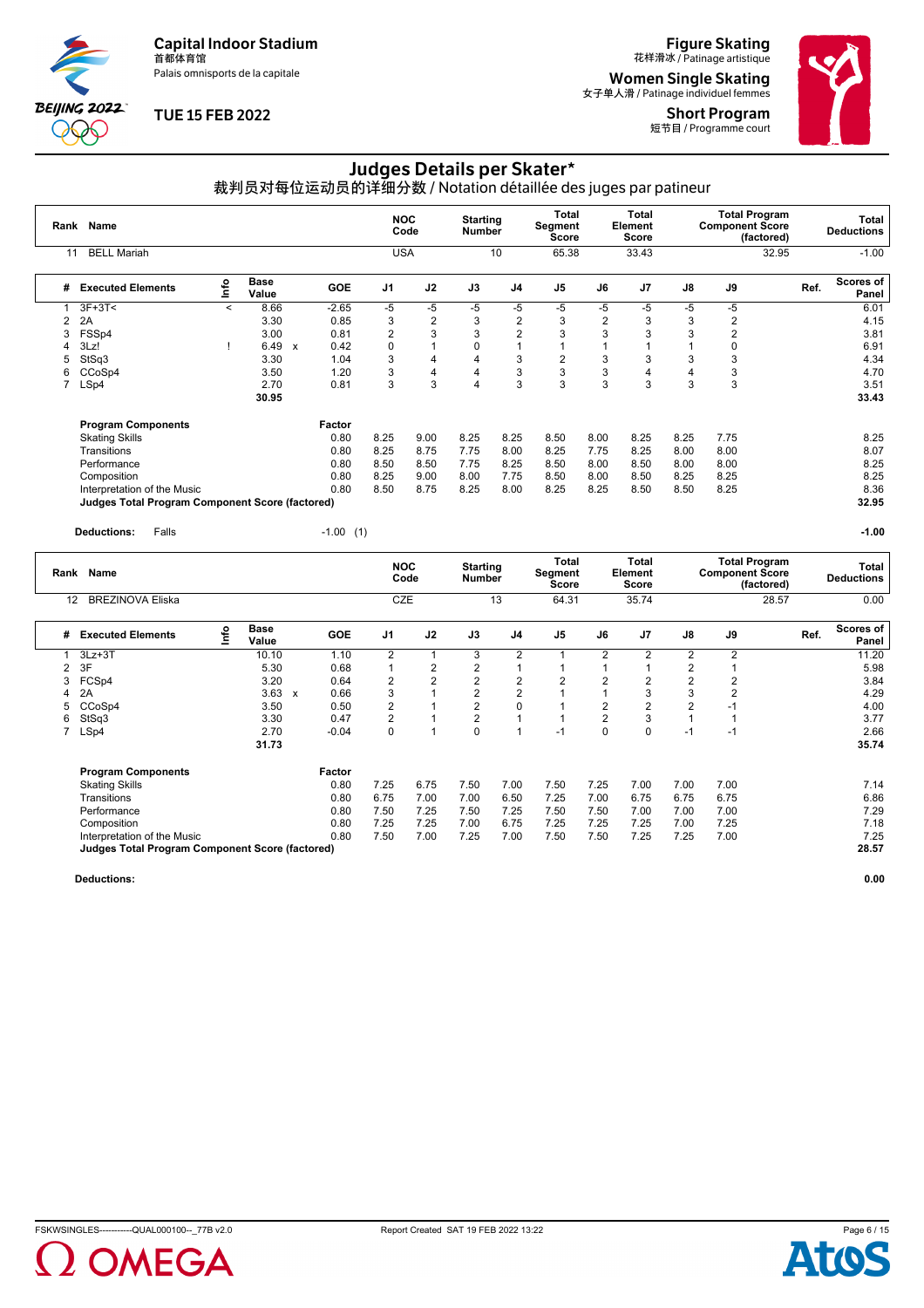Palais omnisports de la capitale

**BEIJING 2022**  $\partial \mathbb{O}$ 

### **TUE 15 FEB 2022**

**Figure Skating**<br>花样滑冰 / Patinage artistique

**Women Single Skating**<br><sub>女子单人滑 / Patinage individuel femmes</sub>

Short Program 短节目 / Programme court



# Judges Details per Skater\*

裁判员对每位运动员的详细分数 / Notation détaillée des juges par patineur

| Rank | <b>Name</b>                                                                           |       |                      |              |             | <b>NOC</b><br>Code<br><b>USA</b> |                    | <b>Starting</b><br><b>Number</b> |                         | Total<br><b>Segment</b><br><b>Score</b> |                  | Total<br>Element<br><b>Score</b> |                | <b>Total Program</b><br><b>Component Score</b><br>(factored) |      | <b>Total</b><br><b>Deductions</b> |
|------|---------------------------------------------------------------------------------------|-------|----------------------|--------------|-------------|----------------------------------|--------------------|----------------------------------|-------------------------|-----------------------------------------|------------------|----------------------------------|----------------|--------------------------------------------------------------|------|-----------------------------------|
| 11   | <b>BELL Mariah</b>                                                                    |       |                      |              |             |                                  |                    |                                  | 10                      | 65.38                                   |                  | 33.43                            |                | 32.95                                                        |      | $-1.00$                           |
| #    | <b>Executed Elements</b>                                                              | lnfo  | <b>Base</b><br>Value |              | <b>GOE</b>  | J <sub>1</sub>                   | J2                 | J3                               | J <sub>4</sub>          | $\mathsf{J}5$                           | J6               | J7                               | J8             | J9                                                           | Ref. | Scores of<br>Panel                |
|      | $3F+3T<$                                                                              | $\,<$ | 8.66                 |              | $-2.65$     | $-5$                             | $-5$               | $-5$                             | $-5$                    | $-5$                                    | -5               | $-5$                             | -5             | $-5$                                                         |      | 6.01                              |
| 2    | 2A                                                                                    |       | 3.30                 |              | 0.85        | 3                                | $\boldsymbol{2}$   | 3                                | $\overline{\mathbf{c}}$ | 3                                       | $\boldsymbol{2}$ | 3                                | 3              | 2                                                            |      | 4.15                              |
| 3    | FSSp4                                                                                 |       | 3.00                 |              | 0.81        | 2                                | 3                  | 3                                | $\overline{2}$          | 3                                       | 3                | 3                                | 3              | $\overline{2}$                                               |      | 3.81                              |
|      | 3Lz!                                                                                  |       | 6.49                 | $\mathsf{x}$ | 0.42        | $\Omega$                         | 1                  | 0                                | $\mathbf{1}$            |                                         |                  |                                  |                | 0                                                            |      | 6.91                              |
| 5    | StSq3                                                                                 |       | 3.30                 |              | 1.04        | 3                                | 4                  | 4                                | 3                       | $\overline{2}$                          | 3                | 3                                | 3              | 3                                                            |      | 4.34                              |
| 6    | CCoSp4                                                                                |       | 3.50                 |              | 1.20        | 3                                | 4                  | 4                                | 3                       | $\mathbf{3}$                            | 3                | 4                                | $\overline{4}$ | 3                                                            |      | 4.70                              |
| 7    | LSp4                                                                                  |       | 2.70<br>30.95        |              | 0.81        | 3                                | 3                  | 4                                | 3                       | 3                                       | 3                | 3                                | 3              | 3                                                            |      | 3.51<br>33.43                     |
|      | <b>Program Components</b>                                                             |       |                      |              | Factor      |                                  |                    |                                  |                         |                                         |                  |                                  |                |                                                              |      |                                   |
|      | <b>Skating Skills</b>                                                                 |       |                      |              | 0.80        | 8.25                             | 9.00               | 8.25                             | 8.25                    | 8.50                                    | 8.00             | 8.25                             | 8.25           | 7.75                                                         |      | 8.25                              |
|      | Transitions                                                                           |       |                      |              | 0.80        | 8.25                             | 8.75               | 7.75                             | 8.00                    | 8.25                                    | 7.75             | 8.25                             | 8.00           | 8.00                                                         |      | 8.07                              |
|      | Performance                                                                           |       |                      |              | 0.80        | 8.50                             | 8.50               | 7.75                             | 8.25                    | 8.50                                    | 8.00             | 8.50                             | 8.00           | 8.00                                                         |      | 8.25                              |
|      | Composition                                                                           |       |                      |              | 0.80        | 8.25                             | 9.00               | 8.00                             | 7.75                    | 8.50                                    | 8.00             | 8.50                             | 8.25           | 8.25                                                         |      | 8.25                              |
|      | Interpretation of the Music<br><b>Judges Total Program Component Score (factored)</b> |       |                      |              | 0.80        | 8.50                             | 8.75               | 8.25                             | 8.00                    | 8.25                                    | 8.25             | 8.50                             | 8.50           | 8.25                                                         |      | 8.36<br>32.95                     |
|      | Falls<br><b>Deductions:</b>                                                           |       |                      |              | $-1.00$ (1) |                                  |                    |                                  |                         |                                         |                  |                                  |                |                                                              |      | $-1.00$                           |
|      | Rank Name                                                                             |       |                      |              |             |                                  | <b>NOC</b><br>Code | <b>Starting</b><br><b>Number</b> |                         | <b>Total</b><br>Segment<br><b>Score</b> |                  | Total<br>Element<br><b>Score</b> |                | <b>Total Program</b><br><b>Component Score</b><br>(factored) |      | <b>Total</b><br><b>Deductions</b> |
| 12   | <b>BREZINOVA Eliska</b>                                                               |       |                      |              |             |                                  | CZE                |                                  | 13                      | 64.31                                   |                  | 35.74                            |                | 28.57                                                        |      | 0.00                              |

|   | ۱Z.<br>DINEZINOVA EIISNA                        |      |               |              |            | ◡▵▭            |                |                | ں ا            | U4.JI          |                | +، ن ن         |                |                | 20.01 | v.vv               |
|---|-------------------------------------------------|------|---------------|--------------|------------|----------------|----------------|----------------|----------------|----------------|----------------|----------------|----------------|----------------|-------|--------------------|
| # | <b>Executed Elements</b>                        | Info | Base<br>Value |              | <b>GOE</b> | J <sub>1</sub> | J2             | J3             | J4             | J <sub>5</sub> | J6             | J <sub>7</sub> | J8             | J9             | Ref.  | Scores of<br>Panel |
|   | $3Lz + 3T$                                      |      | 10.10         |              | 1.10       | $\overline{2}$ |                | 3              | 2              |                | 2              | 2              | $\overline{2}$ | $\overline{2}$ |       | 11.20              |
| 2 | 3F                                              |      | 5.30          |              | 0.68       |                | 2              | 2              |                |                |                |                | 2              |                |       | 5.98               |
| 3 | FCSp4                                           |      | 3.20          |              | 0.64       | $\overline{2}$ | $\overline{2}$ | $\overline{2}$ | $\overline{2}$ | $\overline{2}$ | $\overline{2}$ | 2              | 2              |                |       | 3.84               |
| 4 | 2A                                              |      | 3.63          | $\mathbf{x}$ | 0.66       | 3              |                | $\overline{2}$ | 2              |                |                | 3              | 3              |                |       | 4.29               |
| 5 | CCoSp4                                          |      | 3.50          |              | 0.50       | $\overline{2}$ |                | $\overline{2}$ | $\Omega$       |                | 2              | 2              | 2              | ÷              |       | 4.00               |
| 6 | StSq3                                           |      | 3.30          |              | 0.47       | 2              |                | 2              |                |                | 2              | 3              |                |                |       | 3.77               |
|   | LSp4                                            |      | 2.70          |              | $-0.04$    | 0              |                | $\Omega$       |                | $-1$           | 0              | $\Omega$       | $-1$           | $-1$           |       | 2.66               |
|   |                                                 |      | 31.73         |              |            |                |                |                |                |                |                |                |                |                |       | 35.74              |
|   | <b>Program Components</b>                       |      |               |              | Factor     |                |                |                |                |                |                |                |                |                |       |                    |
|   | <b>Skating Skills</b>                           |      |               |              | 0.80       | 7.25           | 6.75           | 7.50           | 7.00           | 7.50           | 7.25           | 7.00           | 7.00           | 7.00           |       | 7.14               |
|   | Transitions                                     |      |               |              | 0.80       | 6.75           | 7.00           | 7.00           | 6.50           | 7.25           | 7.00           | 6.75           | 6.75           | 6.75           |       | 6.86               |
|   | Performance                                     |      |               |              | 0.80       | 7.50           | 7.25           | 7.50           | 7.25           | 7.50           | 7.50           | 7.00           | 7.00           | 7.00           |       | 7.29               |
|   | Composition                                     |      |               |              | 0.80       | 7.25           | 7.25           | 7.00           | 6.75           | 7.25           | 7.25           | 7.25           | 7.00           | 7.25           |       | 7.18               |
|   | Interpretation of the Music                     |      |               |              | 0.80       | 7.50           | 7.00           | 7.25           | 7.00           | 7.50           | 7.50           | 7.25           | 7.25           | 7.00           |       | 7.25               |
|   | Judges Total Program Component Score (factored) |      |               |              |            |                |                |                |                |                |                |                |                |                |       | 28.57              |
|   |                                                 |      |               |              |            |                |                |                |                |                |                |                |                |                |       |                    |



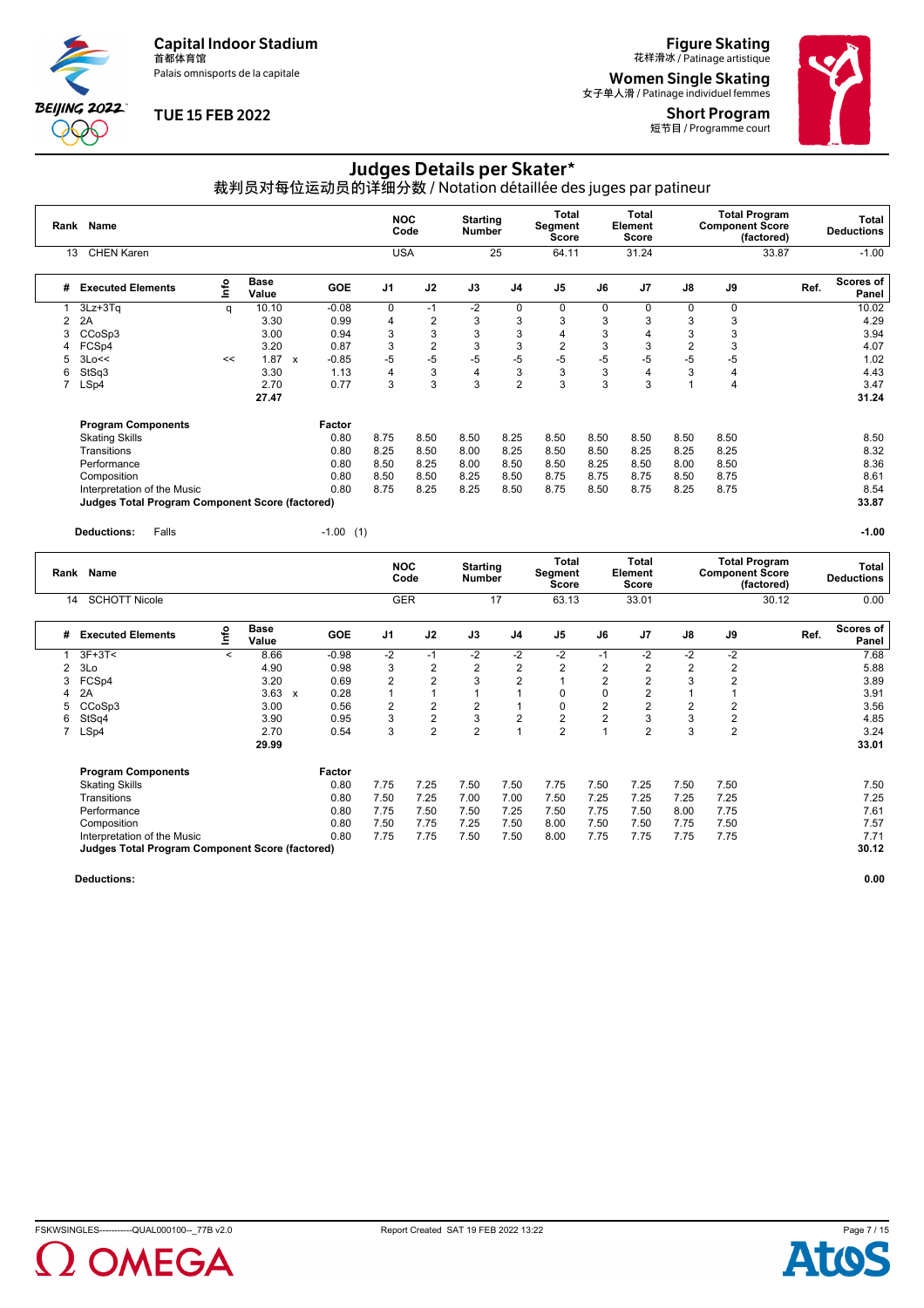Palais omnisports de la capitale

**BEIJING 2022** POO

## **TUE 15 FEB 2022**

**Figure Skating**<br>花样滑冰 / Patinage artistique

**Women Single Skating**<br><sub>女子单人滑 / Patinage individuel femmes</sub>

**Short Program**<br>短节目 / Programme court



# Judges Details per Skater\*

裁判员对每位运动员的详细分数 / Notation détaillée des juges par patineur

|      | Rank Name                                       |    |                                   |             |                | <b>NOC</b><br>Code | <b>Starting</b><br><b>Number</b> |                | Total<br>Segment<br><b>Score</b> |      | <b>Total</b><br>Element<br><b>Score</b> |                | <b>Total Program</b><br><b>Component Score</b><br>(factored) |      | <b>Total</b><br><b>Deductions</b> |
|------|-------------------------------------------------|----|-----------------------------------|-------------|----------------|--------------------|----------------------------------|----------------|----------------------------------|------|-----------------------------------------|----------------|--------------------------------------------------------------|------|-----------------------------------|
|      | <b>CHEN Karen</b><br>13                         |    |                                   |             |                | <b>USA</b>         |                                  | 25             | 64.11                            |      | 31.24                                   |                | 33.87                                                        |      | $-1.00$                           |
| #    | <b>Executed Elements</b>                        | ۴o | <b>Base</b><br>Value              | <b>GOE</b>  | J <sub>1</sub> | J2                 | J3                               | J <sub>4</sub> | J <sub>5</sub>                   | J6   | J7                                      | J8             | J9                                                           | Ref. | <b>Scores of</b><br>Panel         |
|      | 3Lz+3Tq                                         | q  | 10.10                             | $-0.08$     | 0              | $-1$               | $-2$                             | 0              | 0                                | 0    | 0                                       | $\Omega$       | 0                                                            |      | 10.02                             |
| 2    | 2A                                              |    | 3.30                              | 0.99        | 4              | 2                  | 3                                | 3              | 3                                | 3    | 3                                       | 3              | 3                                                            |      | 4.29                              |
|      | CCoSp3                                          |    | 3.00                              | 0.94        | 3              | 3                  | 3                                | 3              | 4                                | 3    | $\overline{4}$                          | 3              | 3                                                            |      | 3.94                              |
| 4    | FCSp4                                           |    | 3.20                              | 0.87        | 3              | $\overline{c}$     | 3                                | 3              | $\overline{2}$                   | 3    | 3                                       | $\overline{c}$ | 3                                                            |      | 4.07                              |
| 5    | 3Lo <<                                          | << | 1.87<br>$\boldsymbol{\mathsf{x}}$ | $-0.85$     | -5             | $-5$               | $-5$                             | $-5$           | $-5$                             | $-5$ | $-5$                                    | $-5$           | $-5$                                                         |      | 1.02                              |
| 6    | StSq3                                           |    | 3.30                              | 1.13        | Δ              | 3                  | $\overline{4}$                   | 3              | 3                                | 3    | $\overline{4}$                          | 3              | $\overline{4}$                                               |      | 4.43                              |
| 7    | LSp4                                            |    | 2.70                              | 0.77        | 3              | 3                  | 3                                | $\overline{2}$ | 3                                | 3    | 3                                       |                | $\overline{4}$                                               |      | 3.47                              |
|      |                                                 |    | 27.47                             |             |                |                    |                                  |                |                                  |      |                                         |                |                                                              |      | 31.24                             |
|      | <b>Program Components</b>                       |    |                                   | Factor      |                |                    |                                  |                |                                  |      |                                         |                |                                                              |      |                                   |
|      | <b>Skating Skills</b>                           |    |                                   | 0.80        | 8.75           | 8.50               | 8.50                             | 8.25           | 8.50                             | 8.50 | 8.50                                    | 8.50           | 8.50                                                         |      | 8.50                              |
|      | Transitions                                     |    |                                   | 0.80        | 8.25           | 8.50               | 8.00                             | 8.25           | 8.50                             | 8.50 | 8.25                                    | 8.25           | 8.25                                                         |      | 8.32                              |
|      | Performance                                     |    |                                   | 0.80        | 8.50           | 8.25               | 8.00                             | 8.50           | 8.50                             | 8.25 | 8.50                                    | 8.00           | 8.50                                                         |      | 8.36                              |
|      | Composition                                     |    |                                   | 0.80        | 8.50           | 8.50               | 8.25                             | 8.50           | 8.75                             | 8.75 | 8.75                                    | 8.50           | 8.75                                                         |      | 8.61                              |
|      | Interpretation of the Music                     |    |                                   | 0.80        | 8.75           | 8.25               | 8.25                             | 8.50           | 8.75                             | 8.50 | 8.75                                    | 8.25           | 8.75                                                         |      | 8.54                              |
|      | Judges Total Program Component Score (factored) |    |                                   |             |                |                    |                                  |                |                                  |      |                                         |                |                                                              |      | 33.87                             |
|      | Falls<br><b>Deductions:</b>                     |    |                                   | $-1.00$ (1) |                |                    |                                  |                |                                  |      |                                         |                |                                                              |      | $-1.00$                           |
| Rank | <b>Name</b>                                     |    |                                   |             |                | <b>NOC</b><br>Code | <b>Starting</b><br><b>Number</b> |                | Total<br>Segment<br>Score        |      | Total<br>Element<br><b>Score</b>        |                | <b>Total Program</b><br><b>Component Score</b><br>(factored) |      | <b>Total</b><br><b>Deductions</b> |

|   |                                                        |         |                      |              |            |                | code           | number         |                | <b>Score</b> |      | <b>Score</b>   |      |      | (factored) | Deductions         |
|---|--------------------------------------------------------|---------|----------------------|--------------|------------|----------------|----------------|----------------|----------------|--------------|------|----------------|------|------|------------|--------------------|
|   | <b>SCHOTT Nicole</b><br>14                             |         |                      |              |            | <b>GER</b>     |                |                | 17             | 63.13        |      | 33.01          |      |      | 30.12      | 0.00               |
| # | <b>Executed Elements</b>                               | ۴o      | <b>Base</b><br>Value |              | <b>GOE</b> | J <sub>1</sub> | J2             | J3             | J4             | J5           | J6   | J <sub>7</sub> | J8   | J9   | Ref.       | Scores of<br>Panel |
|   | $3F+3T<$                                               | $\prec$ | 8.66                 |              | $-0.98$    | $-2$           | $-1$           | $-2$           | $-2$           | $-2$         | -1   | $-2$           | $-2$ | $-2$ |            | 7.68               |
|   | 3Lo                                                    |         | 4.90                 |              | 0.98       | 3              | 2              | 2              | 2              | 2            | 2    |                |      | 2    |            | 5.88               |
| 3 | FCSp4                                                  |         | 3.20                 |              | 0.69       | 2              | 2              | 3              | $\overline{2}$ |              | 2    |                | 3    | 2    |            | 3.89               |
| 4 | 2A                                                     |         | 3.63                 | $\mathbf{x}$ | 0.28       |                |                |                |                | $\Omega$     | O    |                |      |      |            | 3.91               |
| 5 | CCoSp3                                                 |         | 3.00                 |              | 0.56       | 2              | 2              | 2              |                | 0            | 2    |                | 2    | 2    |            | 3.56               |
| 6 | StSq4                                                  |         | 3.90                 |              | 0.95       | 3              | 2              | 3              | $\overline{2}$ | 2            | 2    | 3              | 3    | 2    |            | 4.85               |
|   | LSp4                                                   |         | 2.70                 |              | 0.54       | 3              | $\overline{2}$ | $\overline{2}$ |                | 2            |      | $\overline{2}$ | 3    | 2    |            | 3.24               |
|   |                                                        |         | 29.99                |              |            |                |                |                |                |              |      |                |      |      |            | 33.01              |
|   | <b>Program Components</b>                              |         |                      |              | Factor     |                |                |                |                |              |      |                |      |      |            |                    |
|   | <b>Skating Skills</b>                                  |         |                      |              | 0.80       | 7.75           | 7.25           | 7.50           | 7.50           | 7.75         | 7.50 | 7.25           | 7.50 | 7.50 |            | 7.50               |
|   | Transitions                                            |         |                      |              | 0.80       | 7.50           | 7.25           | 7.00           | 7.00           | 7.50         | 7.25 | 7.25           | 7.25 | 7.25 |            | 7.25               |
|   | Performance                                            |         |                      |              | 0.80       | 7.75           | 7.50           | 7.50           | 7.25           | 7.50         | 7.75 | 7.50           | 8.00 | 7.75 |            | 7.61               |
|   | Composition                                            |         |                      |              | 0.80       | 7.50           | 7.75           | 7.25           | 7.50           | 8.00         | 7.50 | 7.50           | 7.75 | 7.50 |            | 7.57               |
|   | Interpretation of the Music                            |         |                      |              | 0.80       | 7.75           | 7.75           | 7.50           | 7.50           | 8.00         | 7.75 | 7.75           | 7.75 | 7.75 |            | 7.71               |
|   | <b>Judges Total Program Component Score (factored)</b> |         |                      |              |            |                |                |                |                |              |      |                |      |      |            | 30.12              |



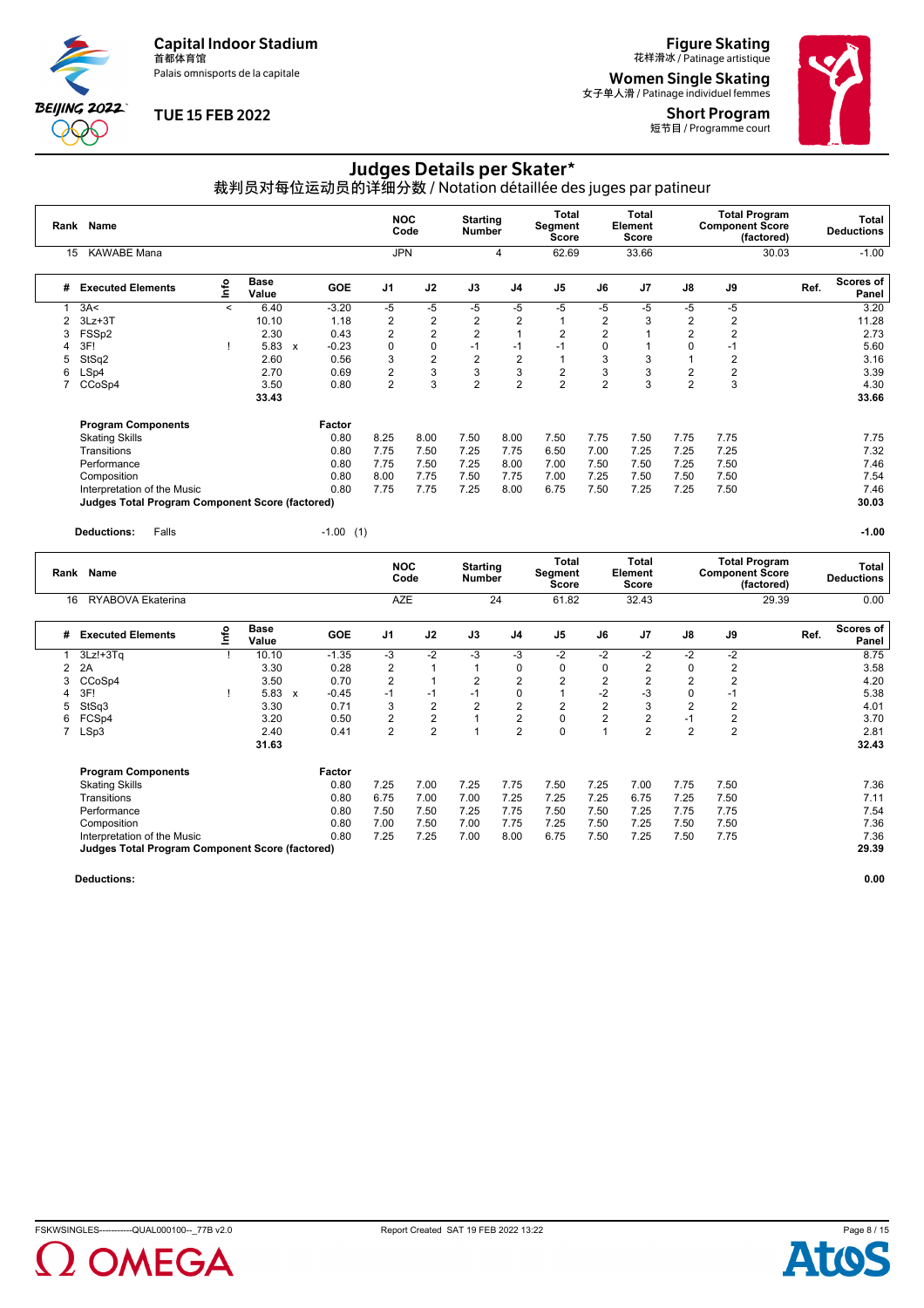Palais omnisports de la capitale

**BEIJING 2022** POO

### **TUE 15 FEB 2022**

**Figure Skating**<br>花样滑冰 / Patinage artistique

**Women Single Skating**<br><sub>女子单人滑 / Patinage individuel femmes</sub>

**Short Program**<br>短节目 / Programme court



# Judges Details per Skater\*

裁判员对每位运动员的详细分数 / Notation détaillée des juges par patineur

|                | Rank Name                                              |                                  |                      |              |             | <b>NOC</b>     | Code           | <b>Starting</b><br><b>Number</b> |                | Total<br>Segment<br>Score      |                | <b>Total</b><br>Element<br><b>Score</b> |                | <b>Total Program</b><br><b>Component Score</b><br>(factored) |      | <b>Total</b><br><b>Deductions</b> |
|----------------|--------------------------------------------------------|----------------------------------|----------------------|--------------|-------------|----------------|----------------|----------------------------------|----------------|--------------------------------|----------------|-----------------------------------------|----------------|--------------------------------------------------------------|------|-----------------------------------|
| 15             | <b>KAWABE Mana</b>                                     |                                  |                      |              |             | <b>JPN</b>     |                |                                  | 4              | 62.69                          |                | 33.66                                   |                | 30.03                                                        |      | $-1.00$                           |
| #              | <b>Executed Elements</b>                               | $\mathop{\mathsf{Int}}\nolimits$ | <b>Base</b><br>Value |              | GOE         | J <sub>1</sub> | J2             | J3                               | J <sub>4</sub> | J <sub>5</sub>                 | J6             | J7                                      | J8             | J9                                                           | Ref. | Scores of<br>Panel                |
|                | 3A<                                                    | $\prec$                          | 6.40                 |              | $-3.20$     | -5             | -5             | -5                               | $-5$           | $-5$                           | -5             | -5                                      | -5             | -5                                                           |      | 3.20                              |
| $\overline{2}$ | $3Lz + 3T$                                             |                                  | 10.10                |              | 1.18        | $\overline{2}$ | $\overline{2}$ | $\overline{2}$                   | $\overline{2}$ | 1                              | $\overline{2}$ | 3                                       | 2              | 2                                                            |      | 11.28                             |
| 3              | FSS <sub>p2</sub>                                      |                                  | 2.30                 |              | 0.43        | $\overline{2}$ | $\overline{2}$ | $\overline{2}$                   | 1              | $\overline{2}$                 | $\overline{2}$ |                                         | $\overline{2}$ | $\overline{2}$                                               |      | 2.73                              |
|                | 3F!                                                    |                                  | 5.83                 | $\mathsf{x}$ | $-0.23$     | 0              | 0              | $-1$                             | $-1$           | $-1$                           | 0              |                                         | 0              | -1                                                           |      | 5.60                              |
| 5              | StSq2                                                  |                                  | 2.60                 |              | 0.56        | 3              | $\overline{2}$ | $\overline{2}$                   | $\overline{c}$ |                                | 3              | 3                                       |                | $\overline{2}$                                               |      | 3.16                              |
| 6              | LSp4                                                   |                                  | 2.70                 |              | 0.69        | $\overline{2}$ | 3              | 3                                | 3              | $\overline{2}$                 | 3              | 3                                       | $\overline{2}$ | $\overline{2}$                                               |      | 3.39                              |
| $\overline{7}$ | CCoSp4                                                 |                                  | 3.50                 |              | 0.80        | $\overline{2}$ | 3              | $\overline{2}$                   | $\overline{2}$ | $\overline{2}$                 | $\overline{2}$ | 3                                       | $\overline{2}$ | 3                                                            |      | 4.30                              |
|                |                                                        |                                  | 33.43                |              |             |                |                |                                  |                |                                |                |                                         |                |                                                              |      | 33.66                             |
|                | <b>Program Components</b>                              |                                  |                      | Factor       |             |                |                |                                  |                |                                |                |                                         |                |                                                              |      |                                   |
|                | <b>Skating Skills</b>                                  |                                  |                      |              | 0.80        | 8.25           | 8.00           | 7.50                             | 8.00           | 7.50                           | 7.75           | 7.50                                    | 7.75           | 7.75                                                         |      | 7.75                              |
|                | Transitions                                            |                                  |                      |              | 0.80        | 7.75           | 7.50           | 7.25                             | 7.75           | 6.50                           | 7.00           | 7.25                                    | 7.25           | 7.25                                                         |      | 7.32                              |
|                | Performance                                            |                                  |                      |              | 0.80        | 7.75           | 7.50           | 7.25                             | 8.00           | 7.00                           | 7.50           | 7.50                                    | 7.25           | 7.50                                                         |      | 7.46                              |
|                | Composition                                            |                                  |                      |              | 0.80        | 8.00           | 7.75           | 7.50                             | 7.75           | 7.00                           | 7.25           | 7.50                                    | 7.50           | 7.50                                                         |      | 7.54                              |
|                | Interpretation of the Music                            |                                  |                      |              | 0.80        | 7.75           | 7.75           | 7.25                             | 8.00           | 6.75                           | 7.50           | 7.25                                    | 7.25           | 7.50                                                         |      | 7.46                              |
|                | <b>Judges Total Program Component Score (factored)</b> |                                  |                      |              |             |                |                |                                  |                |                                |                |                                         |                |                                                              |      | 30.03                             |
|                | <b>Deductions:</b><br>Falls                            |                                  |                      |              | $-1.00$ (1) |                |                |                                  |                |                                |                |                                         |                |                                                              |      | $-1.00$                           |
|                | Rank Name                                              |                                  |                      |              |             |                | <b>NOC</b>     | <b>Starting</b>                  |                | <b>Total</b><br><b>Seament</b> |                | Total<br>Element                        |                | <b>Total Program</b><br><b>Component Score</b>               |      | <b>Total</b><br>- - -             |

| Rank | Name                                                   |          |               |                           |            | .              | Code           | <br><b>Number</b> |                | Segment<br>Score |      | Element<br><b>Score</b> |                |                | <b>Component Score</b><br>(factored) |      | .<br><b>Deductions</b>    |
|------|--------------------------------------------------------|----------|---------------|---------------------------|------------|----------------|----------------|-------------------|----------------|------------------|------|-------------------------|----------------|----------------|--------------------------------------|------|---------------------------|
| 16   | RYABOVA Ekaterina                                      |          |               |                           |            | AZE            |                |                   | 24             | 61.82            |      | 32.43                   |                |                | 29.39                                |      | 0.00                      |
| #    | <b>Executed Elements</b>                               | <b>S</b> | Base<br>Value |                           | <b>GOE</b> | J <sub>1</sub> | J2             | J3                | J <sub>4</sub> | J <sub>5</sub>   | J6   | J <sub>7</sub>          | J8             | J9             |                                      | Ref. | <b>Scores of</b><br>Panel |
|      | $3Lz! + 3Tq$                                           |          | 10.10         |                           | $-1.35$    | -3             | $-2$           | $-3$              | -3             | $-2$             | $-2$ | $-2$                    | $-2$           | $-2$           |                                      |      | 8.75                      |
|      | 2A                                                     |          | 3.30          |                           | 0.28       | 2              |                |                   | 0              | 0                | 0    | 2                       |                |                |                                      |      | 3.58                      |
| 3    | CCoSp4                                                 |          | 3.50          |                           | 0.70       | $\overline{2}$ |                | 2                 | $\overline{2}$ | $\overline{2}$   | 2    | $\overline{2}$          | 2              | 2              |                                      |      | 4.20                      |
| 4    | 3F!                                                    |          | 5.83          | $\boldsymbol{\mathsf{x}}$ | $-0.45$    | $-1$           | $-1$           | $-1$              | $\Omega$       |                  | -2   | -3                      |                | -1             |                                      |      | 5.38                      |
| 5    | StSq3                                                  |          | 3.30          |                           | 0.71       | 3              | 2              | 2                 | $\overline{2}$ | 2                | 2    | 3                       | 2              |                |                                      |      | 4.01                      |
| 6    | FCSp4                                                  |          | 3.20          |                           | 0.50       | 2              | $\overline{2}$ |                   | $\overline{2}$ | 0                | 2    | 2                       | -1             |                |                                      |      | 3.70                      |
|      | LSp3                                                   |          | 2.40          |                           | 0.41       | $\overline{2}$ | $\overline{2}$ |                   | $\overline{2}$ | 0                |      | $\overline{2}$          | $\overline{2}$ | $\overline{2}$ |                                      |      | 2.81                      |
|      |                                                        |          | 31.63         |                           |            |                |                |                   |                |                  |      |                         |                |                |                                      |      | 32.43                     |
|      | <b>Program Components</b>                              |          |               |                           | Factor     |                |                |                   |                |                  |      |                         |                |                |                                      |      |                           |
|      | <b>Skating Skills</b>                                  |          |               |                           | 0.80       | 7.25           | 7.00           | 7.25              | 7.75           | 7.50             | 7.25 | 7.00                    | 7.75           | 7.50           |                                      |      | 7.36                      |
|      | Transitions                                            |          |               |                           | 0.80       | 6.75           | 7.00           | 7.00              | 7.25           | 7.25             | 7.25 | 6.75                    | 7.25           | 7.50           |                                      |      | 7.11                      |
|      | Performance                                            |          |               |                           | 0.80       | 7.50           | 7.50           | 7.25              | 7.75           | 7.50             | 7.50 | 7.25                    | 7.75           | 7.75           |                                      |      | 7.54                      |
|      | Composition                                            |          |               |                           | 0.80       | 7.00           | 7.50           | 7.00              | 7.75           | 7.25             | 7.50 | 7.25                    | 7.50           | 7.50           |                                      |      | 7.36                      |
|      | Interpretation of the Music                            |          |               |                           | 0.80       | 7.25           | 7.25           | 7.00              | 8.00           | 6.75             | 7.50 | 7.25                    | 7.50           | 7.75           |                                      |      | 7.36                      |
|      | <b>Judges Total Program Component Score (factored)</b> |          |               |                           |            |                |                |                   |                |                  |      |                         |                |                |                                      |      | 29.39                     |



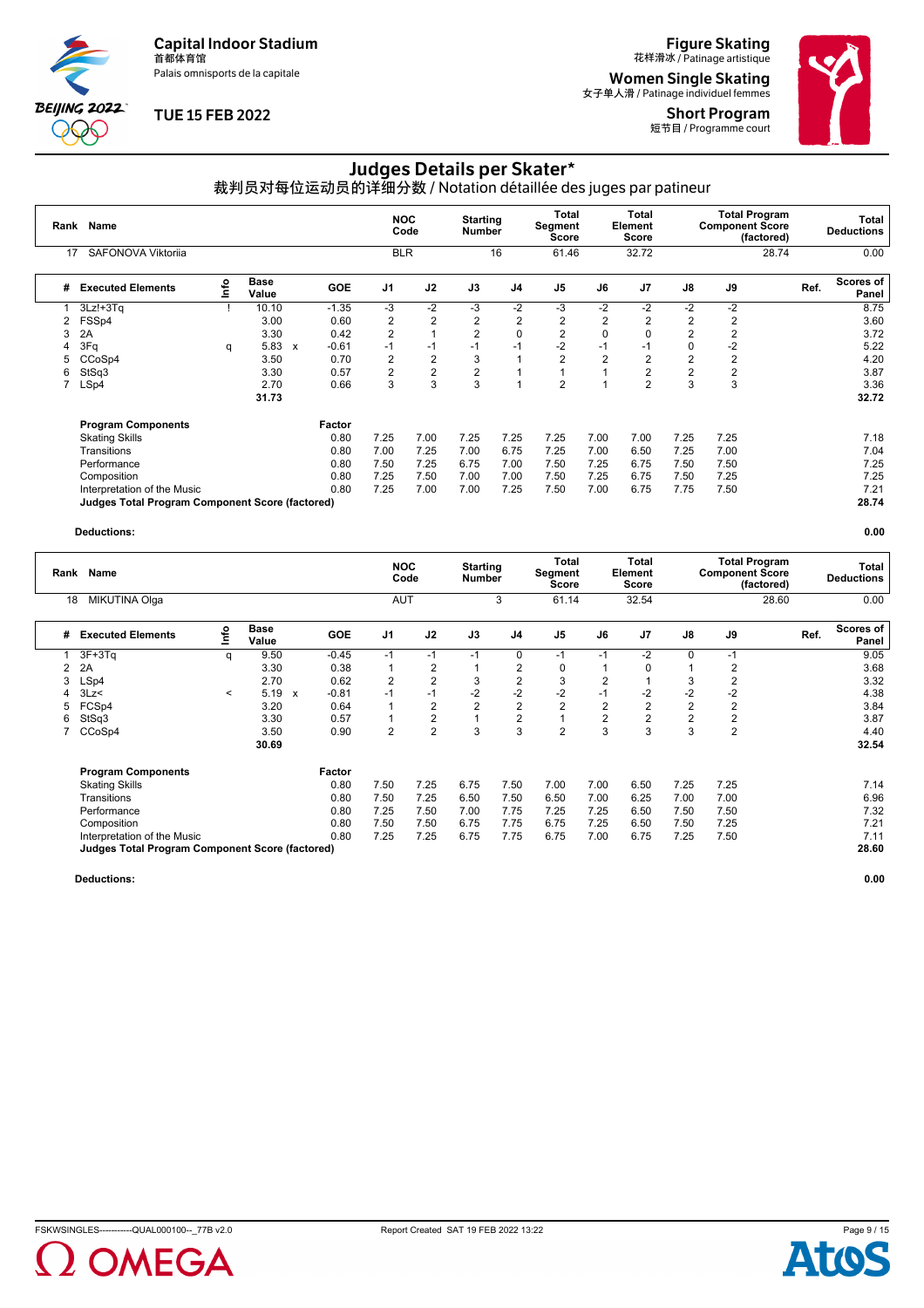Palais omnisports de la capitale

**BEIJING 2022**  $\partial \mathbb{O}$ 

### **TUE 15 FEB 2022**

**Figure Skating**<br>花样滑冰 / Patinage artistique

**Women Single Skating**<br><sub>女子单人滑 / Patinage individuel femmes</sub>

Short Program 短节目 / Programme court



# Judges Details per Skater\*

裁判员对每位运动员的详细分数 / Notation détaillée des juges par patineur

| Rank | <b>Name</b>                                            |      |                      |                           |            | <b>NOC</b>     | Code           | <b>Starting</b><br><b>Number</b> |                | Total<br>Segment<br><b>Score</b> |                | <b>Total</b><br>Element<br><b>Score</b> |                | <b>Component Score</b> | <b>Total Program</b><br>(factored) |      | Total<br><b>Deductions</b> |
|------|--------------------------------------------------------|------|----------------------|---------------------------|------------|----------------|----------------|----------------------------------|----------------|----------------------------------|----------------|-----------------------------------------|----------------|------------------------|------------------------------------|------|----------------------------|
| 17   | SAFONOVA Viktorija                                     |      |                      |                           |            | <b>BLR</b>     |                |                                  | 16             | 61.46                            |                | 32.72                                   |                |                        | 28.74                              |      | 0.00                       |
| #    | <b>Executed Elements</b>                               | Info | <b>Base</b><br>Value |                           | <b>GOE</b> | J <sub>1</sub> | J2             | J3                               | J <sub>4</sub> | J <sub>5</sub>                   | J6             | J <sub>7</sub>                          | J8             | J9                     |                                    | Ref. | Scores of<br>Panel         |
|      | $3Lz! + 3Tq$                                           |      | 10.10                |                           | $-1.35$    | $-3$           | $-2$           | $-3$                             | $-2$           | -3                               | $-2$           | $-2$                                    | $-2$           | -2                     |                                    |      | 8.75                       |
| 2    | FSSp4                                                  |      | 3.00                 |                           | 0.60       | 2              | $\overline{2}$ | $\overline{2}$                   | $\overline{2}$ | 2                                | $\overline{2}$ | 2                                       | $\overline{2}$ | 2                      |                                    |      | 3.60                       |
| 3    | 2A                                                     |      | 3.30                 |                           | 0.42       | $\overline{2}$ |                | $\overline{2}$                   | $\mathbf 0$    | $\overline{2}$                   | $\mathbf 0$    |                                         | $\overline{2}$ | $\overline{2}$         |                                    |      | 3.72                       |
|      | 3Fq                                                    | q    | 5.83                 | $\boldsymbol{\mathsf{x}}$ | $-0.61$    | $-1$           | $-1$           | $-1$                             | $-1$           | $-2$                             | $-1$           | $-1$                                    | 0              | $-2$                   |                                    |      | 5.22                       |
| 5    | CCoSp4                                                 |      | 3.50                 |                           | 0.70       | 2              | $\overline{2}$ | 3                                |                | $\overline{2}$                   | $\overline{2}$ | $\overline{2}$                          | $\overline{2}$ | $\overline{2}$         |                                    |      | 4.20                       |
| 6    | StSq3                                                  |      | 3.30                 |                           | 0.57       | 2              | $\overline{2}$ | $\overline{2}$                   |                |                                  |                | 2                                       | $\overline{2}$ | 2                      |                                    |      | 3.87                       |
|      | LSp4                                                   |      | 2.70                 |                           | 0.66       | 3              | 3              | 3                                |                | $\overline{2}$                   |                | $\overline{2}$                          | 3              | 3                      |                                    |      | 3.36                       |
|      |                                                        |      | 31.73                |                           |            |                |                |                                  |                |                                  |                |                                         |                |                        |                                    |      | 32.72                      |
|      | <b>Program Components</b>                              |      |                      |                           | Factor     |                |                |                                  |                |                                  |                |                                         |                |                        |                                    |      |                            |
|      | <b>Skating Skills</b>                                  |      |                      |                           | 0.80       | 7.25           | 7.00           | 7.25                             | 7.25           | 7.25                             | 7.00           | 7.00                                    | 7.25           | 7.25                   |                                    |      | 7.18                       |
|      | Transitions                                            |      |                      |                           | 0.80       | 7.00           | 7.25           | 7.00                             | 6.75           | 7.25                             | 7.00           | 6.50                                    | 7.25           | 7.00                   |                                    |      | 7.04                       |
|      | Performance                                            |      |                      |                           | 0.80       | 7.50           | 7.25           | 6.75                             | 7.00           | 7.50                             | 7.25           | 6.75                                    | 7.50           | 7.50                   |                                    |      | 7.25                       |
|      | Composition                                            |      |                      |                           | 0.80       | 7.25           | 7.50           | 7.00                             | 7.00           | 7.50                             | 7.25           | 6.75                                    | 7.50           | 7.25                   |                                    |      | 7.25                       |
|      | Interpretation of the Music                            |      |                      |                           | 0.80       | 7.25           | 7.00           | 7.00                             | 7.25           | 7.50                             | 7.00           | 6.75                                    | 7.75           | 7.50                   |                                    |      | 7.21                       |
|      | <b>Judges Total Program Component Score (factored)</b> |      |                      |                           |            |                |                |                                  |                |                                  |                |                                         |                |                        |                                    |      | 28.74                      |

#### **Deductions: 0.00**

|   | Name<br>Rank<br>MIKUTINA Olga<br>18                    |         |                      |   |            | <b>NOC</b>     | Code           | <b>Starting</b><br><b>Number</b> |                | Total<br>Segment<br>Score |                | <b>Total</b><br>Element<br>Score |               | <b>Total Program</b><br><b>Component Score</b> | (factored) | Total<br><b>Deductions</b> |
|---|--------------------------------------------------------|---------|----------------------|---|------------|----------------|----------------|----------------------------------|----------------|---------------------------|----------------|----------------------------------|---------------|------------------------------------------------|------------|----------------------------|
|   |                                                        |         |                      |   |            | <b>AUT</b>     |                |                                  | 3              | 61.14                     |                | 32.54                            |               |                                                | 28.60      | 0.00                       |
| # | <b>Executed Elements</b>                               | ۴o      | <b>Base</b><br>Value |   | <b>GOE</b> | J <sub>1</sub> | J2             | J3                               | J4             | J <sub>5</sub>            | J6             | J <sub>7</sub>                   | $\mathsf{J}8$ | J9                                             | Ref.       | <b>Scores of</b><br>Panel  |
|   | $3F+3Tq$                                               | q       | 9.50                 |   | $-0.45$    | $-1$           | $-1$           | $-1$                             | 0              | $-1$                      | $-1$           | $-2$                             | $\Omega$      | $-1$                                           |            | 9.05                       |
| 2 | 2A                                                     |         | 3.30                 |   | 0.38       |                | 2              |                                  | $\overline{2}$ | 0                         |                | $\Omega$                         |               |                                                |            | 3.68                       |
| 3 | LSp4                                                   |         | 2.70                 |   | 0.62       | $\overline{2}$ | $\overline{2}$ | 3                                | $\overline{2}$ | 3                         | $\overline{2}$ |                                  |               | 2                                              |            | 3.32                       |
|   | 3Lz                                                    | $\,<\,$ | 5.19                 | x | $-0.81$    | $-1$           | $-1$           | $-2$                             | $-2$           | $-2$                      | $-1$           | -2                               | -2            | $-2$                                           |            | 4.38                       |
|   | FCSp4                                                  |         | 3.20                 |   | 0.64       |                | 2              | 2                                | $\overline{2}$ | 2                         | $\overline{2}$ | 2                                | 2             | 2                                              |            | 3.84                       |
| 6 | StSq3                                                  |         | 3.30                 |   | 0.57       |                | 2              |                                  | $\overline{2}$ |                           | 2              | 2                                | 2             | 2                                              |            | 3.87                       |
|   | CCoSp4                                                 |         | 3.50                 |   | 0.90       | 2              | $\overline{2}$ | 3                                | 3              | $\overline{2}$            | 3              | 3                                | 3             | $\overline{2}$                                 |            | 4.40                       |
|   |                                                        |         | 30.69                |   |            |                |                |                                  |                |                           |                |                                  |               |                                                |            | 32.54                      |
|   | <b>Program Components</b>                              |         |                      |   | Factor     |                |                |                                  |                |                           |                |                                  |               |                                                |            |                            |
|   | <b>Skating Skills</b>                                  |         |                      |   | 0.80       | 7.50           | 7.25           | 6.75                             | 7.50           | 7.00                      | 7.00           | 6.50                             | 7.25          | 7.25                                           |            | 7.14                       |
|   | Transitions                                            |         |                      |   | 0.80       | 7.50           | 7.25           | 6.50                             | 7.50           | 6.50                      | 7.00           | 6.25                             | 7.00          | 7.00                                           |            | 6.96                       |
|   | Performance                                            |         |                      |   | 0.80       | 7.25           | 7.50           | 7.00                             | 7.75           | 7.25                      | 7.25           | 6.50                             | 7.50          | 7.50                                           |            | 7.32                       |
|   | Composition                                            |         |                      |   | 0.80       | 7.50           | 7.50           | 6.75                             | 7.75           | 6.75                      | 7.25           | 6.50                             | 7.50          | 7.25                                           |            | 7.21                       |
|   | Interpretation of the Music                            |         |                      |   | 0.80       | 7.25           | 7.25           | 6.75                             | 7.75           | 6.75                      | 7.00           | 6.75                             | 7.25          | 7.50                                           |            | 7.11                       |
|   | <b>Judges Total Program Component Score (factored)</b> |         |                      |   |            |                |                |                                  |                |                           |                |                                  |               |                                                |            | 28.60                      |



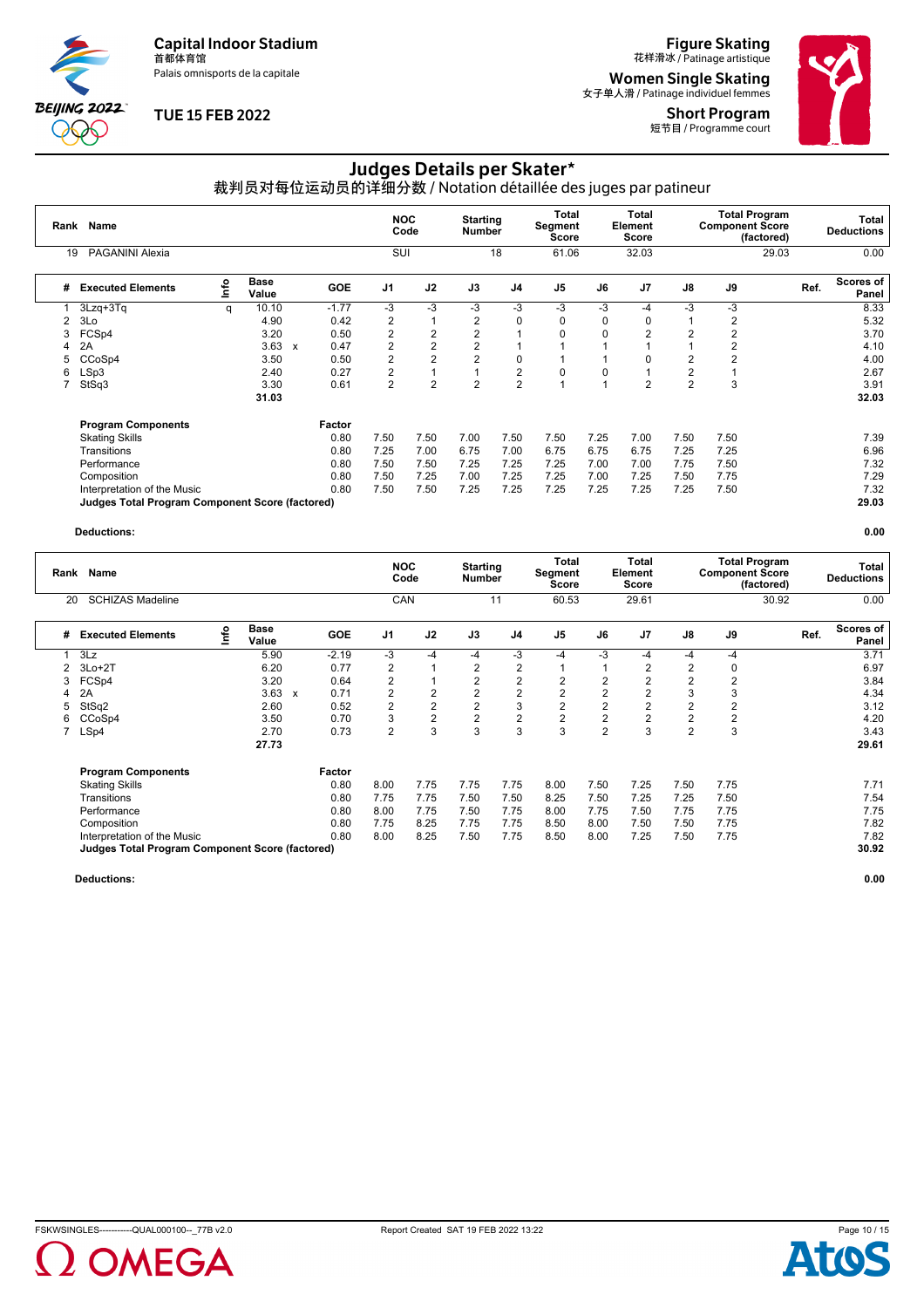Palais omnisports de la capitale

**BEIJING 2022**  $\partial \mathbb{O}$ 

### **TUE 15 FEB 2022**

# **Figure Skating**<br>花样滑冰 / Patinage artistique

**Women Single Skating**<br><sub>女子单人滑 / Patinage individuel femmes</sub>

Short Program 短节目 / Programme court



# Judges Details per Skater\*

裁判员对每位运动员的详细分数 / Notation détaillée des juges par patineur

| Rank | <b>Name</b>                                     |      |               |              |            |                | <b>NOC</b><br>Code | <b>Starting</b><br><b>Number</b> |                | Total<br>Segment<br><b>Score</b> |          | <b>Total</b><br>Element<br>Score |                | <b>Total Program</b><br><b>Component Score</b> | (factored) |      | Total<br><b>Deductions</b> |
|------|-------------------------------------------------|------|---------------|--------------|------------|----------------|--------------------|----------------------------------|----------------|----------------------------------|----------|----------------------------------|----------------|------------------------------------------------|------------|------|----------------------------|
| 19   | PAGANINI Alexia                                 |      |               |              |            | SUI            |                    |                                  | 18             | 61.06                            |          | 32.03                            |                |                                                | 29.03      |      | 0.00                       |
| #    | <b>Executed Elements</b>                        | Info | Base<br>Value |              | <b>GOE</b> | J1             | J2                 | J3                               | J <sub>4</sub> | J <sub>5</sub>                   | J6       | J <sub>7</sub>                   | J8             | J9                                             |            | Ref. | Scores of<br>Panel         |
|      | 3Lzq+3Tq                                        | q    | 10.10         |              | $-1.77$    | -3             | $-3$               | -3                               | $-3$           | -3                               | -3       | -4                               | -3             | -3                                             |            |      | 8.33                       |
| 2    | 3Lo                                             |      | 4.90          |              | 0.42       | 2              |                    | 2                                | 0              | 0                                | 0        | 0                                |                | 2                                              |            |      | 5.32                       |
| 3    | FCS <sub>p4</sub>                               |      | 3.20          |              | 0.50       | $\overline{2}$ | $\overline{2}$     | 2                                |                | 0                                | $\Omega$ | 2                                | $\overline{2}$ | 2                                              |            |      | 3.70                       |
| 4    | 2A                                              |      | 3.63          | $\mathbf{x}$ | 0.47       | $\overline{2}$ | $\overline{2}$     | 2                                |                |                                  |          |                                  |                | 2                                              |            |      | 4.10                       |
| 5    | CCoSp4                                          |      | 3.50          |              | 0.50       | $\overline{2}$ | $\overline{2}$     | 2                                | 0              |                                  |          | 0                                | 2              | $\overline{2}$                                 |            |      | 4.00                       |
| 6    | LSp3                                            |      | 2.40          |              | 0.27       | 2              |                    |                                  | $\overline{2}$ | 0                                | 0        |                                  | 2              |                                                |            |      | 2.67                       |
|      | StSq3                                           |      | 3.30          |              | 0.61       | 2              | $\overline{2}$     | 2                                | $\overline{2}$ |                                  |          | 2                                | $\overline{2}$ | 3                                              |            |      | 3.91                       |
|      |                                                 |      | 31.03         |              |            |                |                    |                                  |                |                                  |          |                                  |                |                                                |            |      | 32.03                      |
|      | <b>Program Components</b>                       |      |               |              | Factor     |                |                    |                                  |                |                                  |          |                                  |                |                                                |            |      |                            |
|      | <b>Skating Skills</b>                           |      |               |              | 0.80       | 7.50           | 7.50               | 7.00                             | 7.50           | 7.50                             | 7.25     | 7.00                             | 7.50           | 7.50                                           |            |      | 7.39                       |
|      | Transitions                                     |      |               |              | 0.80       | 7.25           | 7.00               | 6.75                             | 7.00           | 6.75                             | 6.75     | 6.75                             | 7.25           | 7.25                                           |            |      | 6.96                       |
|      | Performance                                     |      |               |              | 0.80       | 7.50           | 7.50               | 7.25                             | 7.25           | 7.25                             | 7.00     | 7.00                             | 7.75           | 7.50                                           |            |      | 7.32                       |
|      | Composition                                     |      |               |              | 0.80       | 7.50           | 7.25               | 7.00                             | 7.25           | 7.25                             | 7.00     | 7.25                             | 7.50           | 7.75                                           |            |      | 7.29                       |
|      | Interpretation of the Music                     |      |               |              | 0.80       | 7.50           | 7.50               | 7.25                             | 7.25           | 7.25                             | 7.25     | 7.25                             | 7.25           | 7.50                                           |            |      | 7.32                       |
|      | Judges Total Program Component Score (factored) |      |               |              |            |                |                    |                                  |                |                                  |          |                                  |                |                                                |            |      | 29.03                      |

#### **Deductions: 0.00**

| Rank | <b>Name</b>                                     |    |                      |   |            | <b>NOC</b>     | Code           | <b>Starting</b><br>Number |                | <b>Total</b><br>Segment<br>Score |                | <b>Total</b><br>Element<br><b>Score</b> |                | <b>Total Program</b><br><b>Component Score</b> | (factored) | Total<br><b>Deductions</b> |
|------|-------------------------------------------------|----|----------------------|---|------------|----------------|----------------|---------------------------|----------------|----------------------------------|----------------|-----------------------------------------|----------------|------------------------------------------------|------------|----------------------------|
| 20   | <b>SCHIZAS Madeline</b>                         |    |                      |   |            | <b>CAN</b>     |                |                           | 11             | 60.53                            |                | 29.61                                   |                |                                                | 30.92      | 0.00                       |
| #    | <b>Executed Elements</b>                        | ۴o | <b>Base</b><br>Value |   | <b>GOE</b> | J <sub>1</sub> | J2             | J3                        | J <sub>4</sub> | J <sub>5</sub>                   | J6             | J <sub>7</sub>                          | J8             | J9                                             | Ref.       | <b>Scores of</b><br>Panel  |
|      | 3Lz                                             |    | 5.90                 |   | $-2.19$    | -3             | $-4$           | -4                        | -3             | -4                               | -3             | -4                                      | -4             | -4                                             |            | 3.71                       |
| 2    | $3Lo+2T$                                        |    | 6.20                 |   | 0.77       | 2              |                | 2                         | 2              |                                  |                | 2                                       |                | 0                                              |            | 6.97                       |
| 3    | FCS <sub>p4</sub>                               |    | 3.20                 |   | 0.64       | $\overline{2}$ |                | 2                         | $\overline{2}$ | $\overline{2}$                   | $\overline{2}$ | 2                                       | 2              | 2                                              |            | 3.84                       |
|      | 2A                                              |    | 3.63                 | x | 0.71       | $\overline{2}$ | $\overline{2}$ | 2                         | $\overline{2}$ | $\overline{2}$                   | $\overline{2}$ | $\overline{2}$                          |                | 3                                              |            | 4.34                       |
| 5    | StSq2                                           |    | 2.60                 |   | 0.52       | $\overline{2}$ | $\overline{2}$ | $\overline{2}$            | 3              | $\overline{2}$                   | $\overline{2}$ | 2                                       | 2              | 2                                              |            | 3.12                       |
| 6    | CCoSp4                                          |    | 3.50                 |   | 0.70       | 3              | $\overline{2}$ | $\overline{2}$            | $\overline{2}$ | $\overline{2}$                   | $\overline{2}$ | $\overline{2}$                          | 2              | $\overline{2}$                                 |            | 4.20                       |
|      | LSp4                                            |    | 2.70                 |   | 0.73       | $\overline{2}$ | 3              | 3                         | 3              | 3                                | $\overline{2}$ | 3                                       | $\overline{2}$ | 3                                              |            | 3.43                       |
|      |                                                 |    | 27.73                |   |            |                |                |                           |                |                                  |                |                                         |                |                                                |            | 29.61                      |
|      | <b>Program Components</b>                       |    |                      |   | Factor     |                |                |                           |                |                                  |                |                                         |                |                                                |            |                            |
|      | <b>Skating Skills</b>                           |    |                      |   | 0.80       | 8.00           | 7.75           | 7.75                      | 7.75           | 8.00                             | 7.50           | 7.25                                    | 7.50           | 7.75                                           |            | 7.71                       |
|      | Transitions                                     |    |                      |   | 0.80       | 7.75           | 7.75           | 7.50                      | 7.50           | 8.25                             | 7.50           | 7.25                                    | 7.25           | 7.50                                           |            | 7.54                       |
|      | Performance                                     |    |                      |   | 0.80       | 8.00           | 7.75           | 7.50                      | 7.75           | 8.00                             | 7.75           | 7.50                                    | 7.75           | 7.75                                           |            | 7.75                       |
|      | Composition                                     |    |                      |   | 0.80       | 7.75           | 8.25           | 7.75                      | 7.75           | 8.50                             | 8.00           | 7.50                                    | 7.50           | 7.75                                           |            | 7.82                       |
|      | Interpretation of the Music                     |    |                      |   | 0.80       | 8.00           | 8.25           | 7.50                      | 7.75           | 8.50                             | 8.00           | 7.25                                    | 7.50           | 7.75                                           |            | 7.82                       |
|      | Judges Total Program Component Score (factored) |    |                      |   |            |                |                |                           |                |                                  |                |                                         |                |                                                |            | 30.92                      |



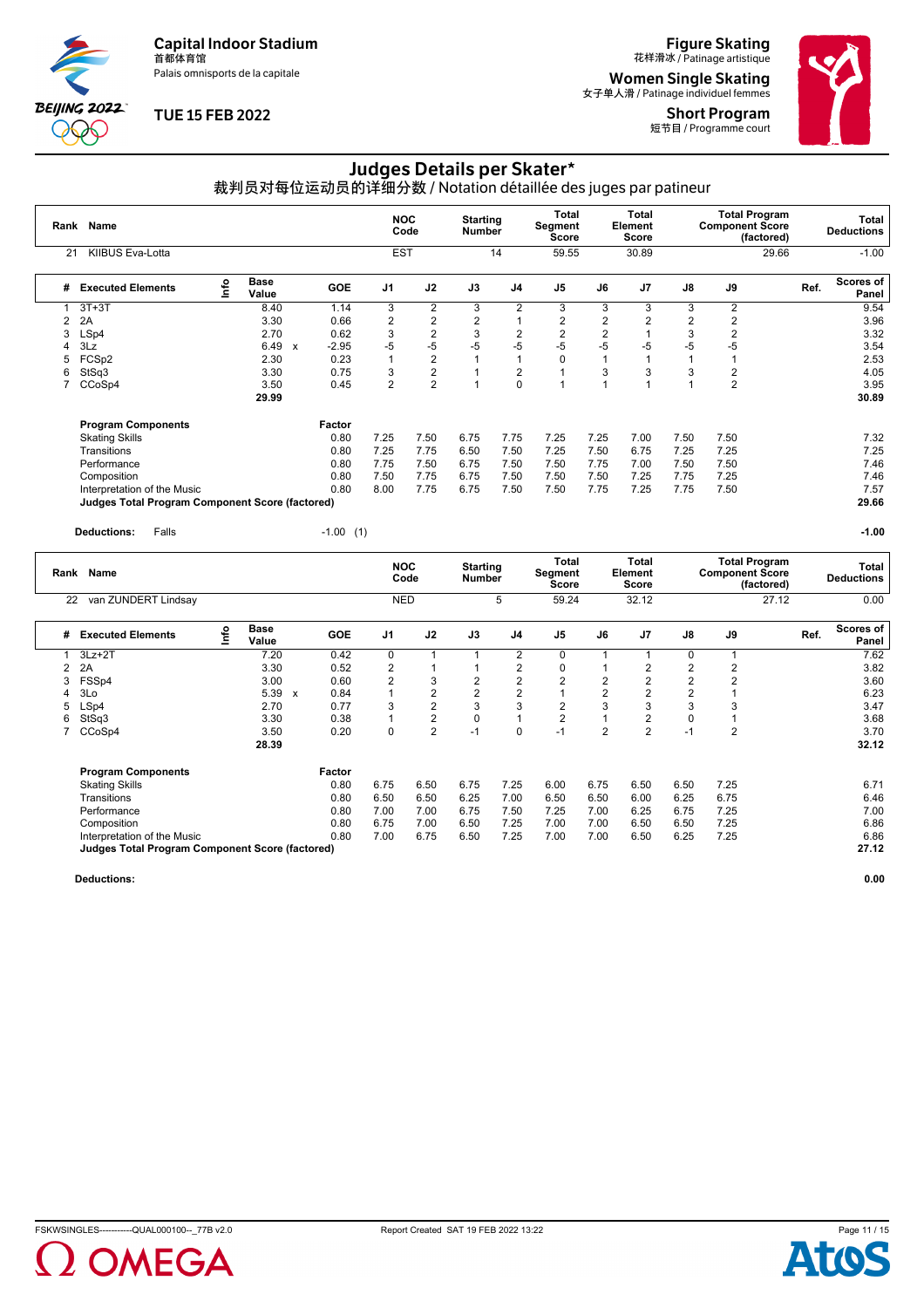Palais omnisports de la capitale

**BEIJING 2022 000** 

### **TUE 15 FEB 2022**

**Figure Skating**<br>花样滑冰 / Patinage artistique

**Women Single Skating**<br><sub>女子单人滑 / Patinage individuel femmes</sub> Short Program





# Judges Details per Skater\*

裁判员对每位运动员的详细分数 / Notation détaillée des juges par patineur

| Rank           | Name                                                   |            |                      |                           |             |                | <b>NOC</b><br>Code | <b>Starting</b><br><b>Number</b> |                | Total<br>Segment<br><b>Score</b>        |                | <b>Total</b><br>Element<br><b>Score</b> |                | <b>Component Score</b> | <b>Total Program</b><br>(factored) |      | <b>Total</b><br><b>Deductions</b> |
|----------------|--------------------------------------------------------|------------|----------------------|---------------------------|-------------|----------------|--------------------|----------------------------------|----------------|-----------------------------------------|----------------|-----------------------------------------|----------------|------------------------|------------------------------------|------|-----------------------------------|
| 21             | KIIBUS Eva-Lotta                                       |            |                      |                           |             | <b>EST</b>     |                    |                                  | 14             | 59.55                                   |                | 30.89                                   |                |                        | 29.66                              |      | $-1.00$                           |
| #              | <b>Executed Elements</b>                               | <u>nfo</u> | <b>Base</b><br>Value |                           | <b>GOE</b>  | J <sub>1</sub> | J2                 | J3                               | J <sub>4</sub> | J <sub>5</sub>                          | J6             | J7                                      | J8             | J9                     |                                    | Ref. | <b>Scores of</b><br>Panel         |
| 1              | $3T+3T$                                                |            | 8.40                 |                           | 1.14        | 3              | $\overline{2}$     | 3                                | 2              | 3                                       | 3              | 3                                       | 3              | $\overline{2}$         |                                    |      | 9.54                              |
| $\overline{2}$ | 2A                                                     |            | 3.30                 |                           | 0.66        | 2              | $\sqrt{2}$         | $\overline{2}$                   | $\overline{1}$ | 2                                       | $\overline{2}$ | 2                                       | $\overline{2}$ | $\overline{2}$         |                                    |      | 3.96                              |
| 3              | LSp4                                                   |            | 2.70                 |                           | 0.62        | 3              | $\overline{2}$     | 3                                | $\overline{2}$ | $\overline{2}$                          | $\overline{2}$ |                                         | 3              | $\overline{2}$         |                                    |      | 3.32                              |
| Δ              | 3Lz                                                    |            | 6.49                 | $\boldsymbol{\mathsf{x}}$ | $-2.95$     | $-5$           | $-5$               | $-5$                             | $-5$           | $-5$                                    | $-5$           | -5                                      | -5             | $-5$                   |                                    |      | 3.54                              |
| 5              | FCSp2                                                  |            | 2.30                 |                           | 0.23        |                | $\overline{2}$     |                                  | $\overline{1}$ | $\Omega$                                | $\overline{1}$ | 1                                       |                |                        |                                    |      | 2.53                              |
| 6              | StSq3                                                  |            | 3.30                 |                           | 0.75        | 3              | $\overline{2}$     |                                  | $\overline{2}$ |                                         | 3              | 3                                       | 3              | $\overline{2}$         |                                    |      | 4.05                              |
| 7              | CCoSp4                                                 |            | 3.50                 |                           | 0.45        | $\overline{2}$ | $\overline{2}$     | 1                                | $\mathbf 0$    | H                                       | $\overline{1}$ | 1                                       |                | $\overline{2}$         |                                    |      | 3.95                              |
|                |                                                        |            | 29.99                |                           |             |                |                    |                                  |                |                                         |                |                                         |                |                        |                                    |      | 30.89                             |
|                | <b>Program Components</b>                              |            |                      |                           | Factor      |                |                    |                                  |                |                                         |                |                                         |                |                        |                                    |      |                                   |
|                | <b>Skating Skills</b>                                  |            |                      |                           | 0.80        | 7.25           | 7.50               | 6.75                             | 7.75           | 7.25                                    | 7.25           | 7.00                                    | 7.50           | 7.50                   |                                    |      | 7.32                              |
|                | Transitions                                            |            |                      |                           | 0.80        | 7.25           | 7.75               | 6.50                             | 7.50           | 7.25                                    | 7.50           | 6.75                                    | 7.25           | 7.25                   |                                    |      | 7.25                              |
|                | Performance                                            |            |                      |                           | 0.80        | 7.75           | 7.50               | 6.75                             | 7.50           | 7.50                                    | 7.75           | 7.00                                    | 7.50           | 7.50                   |                                    |      | 7.46                              |
|                | Composition                                            |            |                      |                           | 0.80        | 7.50           | 7.75               | 6.75                             | 7.50           | 7.50                                    | 7.50           | 7.25                                    | 7.75           | 7.25                   |                                    |      | 7.46                              |
|                | Interpretation of the Music                            |            |                      |                           | 0.80        | 8.00           | 7.75               | 6.75                             | 7.50           | 7.50                                    | 7.75           | 7.25                                    | 7.75           | 7.50                   |                                    |      | 7.57                              |
|                | <b>Judges Total Program Component Score (factored)</b> |            |                      |                           |             |                |                    |                                  |                |                                         |                |                                         |                |                        |                                    |      | 29.66                             |
|                | Falls<br><b>Deductions:</b>                            |            |                      |                           | $-1.00$ (1) |                |                    |                                  |                |                                         |                |                                         |                |                        |                                    |      | $-1.00$                           |
|                | Rank Name                                              |            |                      |                           |             |                | <b>NOC</b><br>Code | <b>Starting</b><br><b>Number</b> |                | <b>Total</b><br>Segment<br><b>Score</b> |                | <b>Total</b><br>Element<br>Score        |                | <b>Component Score</b> | <b>Total Program</b><br>(factored) |      | <b>Total</b><br><b>Deductions</b> |
| 22             | van ZUNDERT Lindsay                                    |            |                      |                           |             |                | <b>NED</b>         |                                  | 5              | 59.24                                   |                | 32.12                                   |                |                        | 27.12                              |      | 0.00                              |

| # | <b>Executed Elements</b>                               | ۴o | <b>Base</b><br>Value |        | <b>GOE</b> | J1   | J2            | J3             | J4             | J <sub>5</sub> | J6   | J <sub>7</sub> | J8             | J9             | Ref. | <b>Scores of</b><br>Panel |
|---|--------------------------------------------------------|----|----------------------|--------|------------|------|---------------|----------------|----------------|----------------|------|----------------|----------------|----------------|------|---------------------------|
|   | $3Lz + 2T$                                             |    | 7.20                 |        | 0.42       | 0    |               |                | $\overline{2}$ | 0              |      |                | 0              |                |      | 7.62                      |
| 2 | 2A                                                     |    | 3.30                 |        | 0.52       | 2    |               |                | 2              | 0              |      | 2              | 2              |                |      | 3.82                      |
| 3 | FSSp4                                                  |    | 3.00                 |        | 0.60       | 2    | 3             | $\overline{2}$ | 2              | $\overline{2}$ | 2    | 2              | $\overline{2}$ |                |      | 3.60                      |
| 4 | 3Lo                                                    |    | 5.39<br>$\mathbf{x}$ |        | 0.84       |      | $\Omega$<br>∠ | $\overline{2}$ | 2              |                | 2    | 2              | 2              |                |      | 6.23                      |
| 5 | LSp4                                                   |    | 2.70                 |        | 0.77       | 3    | 2             | 3              | 3              | $\overline{2}$ | 3    | 3              | 3              |                |      | 3.47                      |
| 6 | StSq3                                                  |    | 3.30                 |        | 0.38       |      | 2             | 0              |                | $\overline{2}$ |      | 2              | 0              |                |      | 3.68                      |
|   | CCoSp4                                                 |    | 3.50                 |        | 0.20       | 0    | 2             | $-1$           | 0              | $-1$           | 2    | 2              | $-1$           | $\overline{2}$ |      | 3.70                      |
|   |                                                        |    | 28.39                |        |            |      |               |                |                |                |      |                |                |                |      | 32.12                     |
|   | <b>Program Components</b>                              |    |                      | Factor |            |      |               |                |                |                |      |                |                |                |      |                           |
|   | <b>Skating Skills</b>                                  |    |                      |        | 0.80       | 6.75 | 6.50          | 6.75           | 7.25           | 6.00           | 6.75 | 6.50           | 6.50           | 7.25           |      | 6.71                      |
|   | Transitions                                            |    |                      |        | 0.80       | 6.50 | 6.50          | 6.25           | 7.00           | 6.50           | 6.50 | 6.00           | 6.25           | 6.75           |      | 6.46                      |
|   | Performance                                            |    |                      |        | 0.80       | 7.00 | 7.00          | 6.75           | 7.50           | 7.25           | 7.00 | 6.25           | 6.75           | 7.25           |      | 7.00                      |
|   | Composition                                            |    |                      |        | 0.80       | 6.75 | 7.00          | 6.50           | 7.25           | 7.00           | 7.00 | 6.50           | 6.50           | 7.25           |      | 6.86                      |
|   | Interpretation of the Music                            |    |                      |        | 0.80       | 7.00 | 6.75          | 6.50           | 7.25           | 7.00           | 7.00 | 6.50           | 6.25           | 7.25           |      | 6.86                      |
|   | <b>Judges Total Program Component Score (factored)</b> |    |                      |        |            |      |               |                |                |                |      |                |                |                |      | 27.12                     |

**Deductions: 0.00**

Page 11 / 15

A

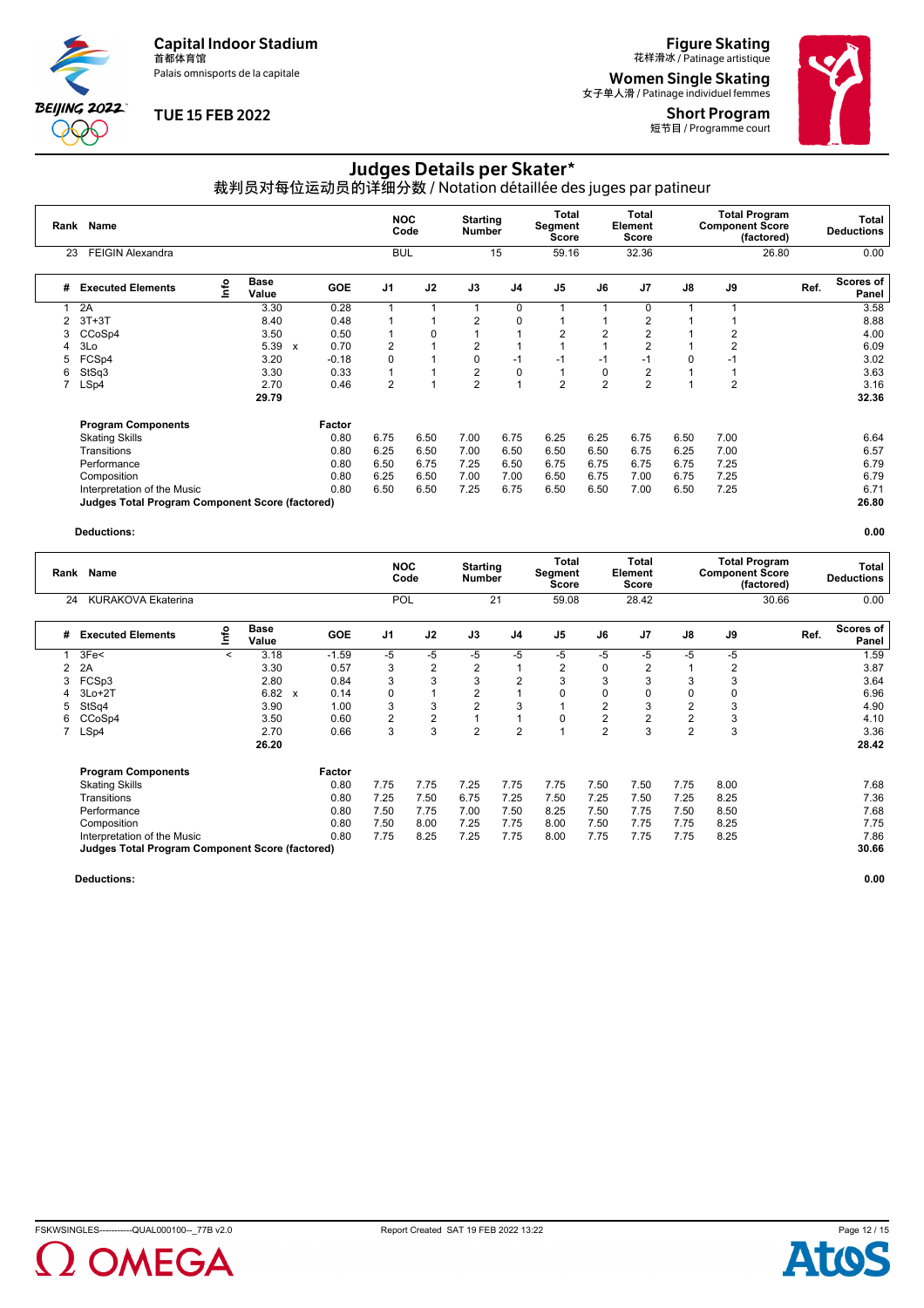Palais omnisports de la capitale

**BEIJING 2022** POO

### **TUE 15 FEB 2022**

**Figure Skating**<br>花样滑冰 / Patinage artistique

**Women Single Skating**<br><sub>女子单人滑 / Patinage individuel femmes</sub> Short Program





# Judges Details per Skater\*

裁判员对每位运动员的详细分数 / Notation détaillée des juges par patineur

| Rank | Name                                                   |                                  |                      |                           |            |                | <b>NOC</b><br>Code | <b>Starting</b><br><b>Number</b> |                | Total<br>Segment<br><b>Score</b> |                | <b>Total</b><br>Element<br><b>Score</b> |      | <b>Total Program</b><br><b>Component Score</b> | (factored) | Total<br><b>Deductions</b> |
|------|--------------------------------------------------------|----------------------------------|----------------------|---------------------------|------------|----------------|--------------------|----------------------------------|----------------|----------------------------------|----------------|-----------------------------------------|------|------------------------------------------------|------------|----------------------------|
| 23   | <b>FEIGIN Alexandra</b>                                |                                  |                      |                           |            | <b>BUL</b>     |                    |                                  | 15             | 59.16                            |                | 32.36                                   |      |                                                | 26.80      | 0.00                       |
| #    | <b>Executed Elements</b>                               | $\mathop{\mathsf{Irr}}\nolimits$ | <b>Base</b><br>Value |                           | <b>GOE</b> | J <sub>1</sub> | J2                 | J3                               | J <sub>4</sub> | J <sub>5</sub>                   | J6             | J7                                      | J8   | J9                                             |            | Scores of<br>Ref.<br>Panel |
|      | 2A                                                     |                                  | 3.30                 |                           | 0.28       |                |                    |                                  | 0              |                                  |                | $\Omega$                                |      |                                                |            | 3.58                       |
|      | $3T+3T$                                                |                                  | 8.40                 |                           | 0.48       |                |                    | $\overline{2}$                   | $\mathbf 0$    |                                  |                | 2                                       |      |                                                |            | 8.88                       |
|      | CCoSp4                                                 |                                  | 3.50                 |                           | 0.50       |                | 0                  |                                  |                | 2                                | $\overline{2}$ | 2                                       |      | 2                                              |            | 4.00                       |
|      | 3Lo                                                    |                                  | 5.39                 | $\boldsymbol{\mathsf{x}}$ | 0.70       | 2              |                    | 2                                |                |                                  |                | 2                                       |      | 2                                              |            | 6.09                       |
| 5    | FCSp4                                                  |                                  | 3.20                 |                           | $-0.18$    | $\Omega$       |                    | 0                                | $-1$           | $-1$                             | $-1$           | $-1$                                    | 0    | $-1$                                           |            | 3.02                       |
| 6    | StSq3                                                  |                                  | 3.30                 |                           | 0.33       |                |                    | 2                                | $\mathbf 0$    |                                  | 0              | 2                                       |      |                                                |            | 3.63                       |
|      | LSp4                                                   |                                  | 2.70                 |                           | 0.46       | $\overline{2}$ | $\overline{A}$     | $\overline{2}$                   |                | $\overline{2}$                   | $\overline{2}$ | $\overline{2}$                          |      | 2                                              |            | 3.16                       |
|      |                                                        |                                  | 29.79                |                           |            |                |                    |                                  |                |                                  |                |                                         |      |                                                |            | 32.36                      |
|      | <b>Program Components</b>                              |                                  |                      |                           | Factor     |                |                    |                                  |                |                                  |                |                                         |      |                                                |            |                            |
|      | <b>Skating Skills</b>                                  |                                  |                      |                           | 0.80       | 6.75           | 6.50               | 7.00                             | 6.75           | 6.25                             | 6.25           | 6.75                                    | 6.50 | 7.00                                           |            | 6.64                       |
|      | Transitions                                            |                                  |                      |                           | 0.80       | 6.25           | 6.50               | 7.00                             | 6.50           | 6.50                             | 6.50           | 6.75                                    | 6.25 | 7.00                                           |            | 6.57                       |
|      | Performance                                            |                                  |                      |                           | 0.80       | 6.50           | 6.75               | 7.25                             | 6.50           | 6.75                             | 6.75           | 6.75                                    | 6.75 | 7.25                                           |            | 6.79                       |
|      | Composition                                            |                                  |                      |                           | 0.80       | 6.25           | 6.50               | 7.00                             | 7.00           | 6.50                             | 6.75           | 7.00                                    | 6.75 | 7.25                                           |            | 6.79                       |
|      | Interpretation of the Music                            |                                  |                      |                           | 0.80       | 6.50           | 6.50               | 7.25                             | 6.75           | 6.50                             | 6.50           | 7.00                                    | 6.50 | 7.25                                           |            | 6.71                       |
|      | <b>Judges Total Program Component Score (factored)</b> |                                  |                      |                           |            |                |                    |                                  |                |                                  |                |                                         |      |                                                |            | 26.80                      |

#### **Deductions: 0.00**

| Rank | Name                                                   |         |                      |              |            | <b>NOC</b><br>Code | <b>Starting</b><br>Number |                | Total<br>Segment<br>Score |                | <b>Total</b><br>Element<br><b>Score</b> |                | <b>Total Program</b><br><b>Component Score</b> | (factored) | Total<br><b>Deductions</b> |                           |
|------|--------------------------------------------------------|---------|----------------------|--------------|------------|--------------------|---------------------------|----------------|---------------------------|----------------|-----------------------------------------|----------------|------------------------------------------------|------------|----------------------------|---------------------------|
| 24   | <b>KURAKOVA Ekaterina</b>                              |         |                      |              |            | <b>POL</b>         |                           |                | 21                        | 59.08          |                                         | 28.42          |                                                |            | 30.66                      | 0.00                      |
| #    | <b>Executed Elements</b>                               | ۴ô      | <b>Base</b><br>Value |              | <b>GOE</b> | J <sub>1</sub>     | J2                        | J3             | J <sub>4</sub>            | J <sub>5</sub> | J6                                      | J <sub>7</sub> | J8                                             | J9         | Ref.                       | <b>Scores of</b><br>Panel |
|      | 3Fe<                                                   | $\prec$ | 3.18                 |              | $-1.59$    | -5                 | -5                        | -5             | $-5$                      | -5             | -5                                      | -5             | $-5$                                           | -5         |                            | 1.59                      |
| 2    | 2A                                                     |         | 3.30                 |              | 0.57       | 3                  | 2                         | 2              |                           | 2              | 0                                       | 2              |                                                | 2          |                            | 3.87                      |
| 3    | FCSp3                                                  |         | 2.80                 |              | 0.84       | 3                  | 3                         | 3              | $\overline{2}$            | 3              | 3                                       | 3              | 3                                              | 3          |                            | 3.64                      |
|      | $3Lo+2T$                                               |         | 6.82                 | $\mathbf{x}$ | 0.14       | 0                  |                           | 2              |                           | 0              | 0                                       | 0              |                                                | 0          |                            | 6.96                      |
| 5    | StSq4                                                  |         | 3.90                 |              | 1.00       | 3                  | 3                         | $\overline{2}$ | 3                         |                | 2                                       | 3              | 2                                              | 3          |                            | 4.90                      |
| 6    | CCoSp4                                                 |         | 3.50                 |              | 0.60       | 2                  | 2                         |                |                           | 0              | $\overline{2}$                          | $\overline{2}$ | 2                                              | 3          |                            | 4.10                      |
|      | LSp4                                                   |         | 2.70                 |              | 0.66       | 3                  | 3                         | $\overline{2}$ | $\overline{2}$            |                | $\overline{2}$                          | 3              | $\overline{2}$                                 | 3          |                            | 3.36                      |
|      |                                                        |         | 26.20                |              |            |                    |                           |                |                           |                |                                         |                |                                                |            |                            | 28.42                     |
|      | <b>Program Components</b>                              |         |                      |              | Factor     |                    |                           |                |                           |                |                                         |                |                                                |            |                            |                           |
|      | <b>Skating Skills</b>                                  |         |                      |              | 0.80       | 7.75               | 7.75                      | 7.25           | 7.75                      | 7.75           | 7.50                                    | 7.50           | 7.75                                           | 8.00       |                            | 7.68                      |
|      | Transitions                                            |         |                      |              | 0.80       | 7.25               | 7.50                      | 6.75           | 7.25                      | 7.50           | 7.25                                    | 7.50           | 7.25                                           | 8.25       |                            | 7.36                      |
|      | Performance                                            |         |                      |              | 0.80       | 7.50               | 7.75                      | 7.00           | 7.50                      | 8.25           | 7.50                                    | 7.75           | 7.50                                           | 8.50       |                            | 7.68                      |
|      | Composition                                            |         |                      |              | 0.80       | 7.50               | 8.00                      | 7.25           | 7.75                      | 8.00           | 7.50                                    | 7.75           | 7.75                                           | 8.25       |                            | 7.75                      |
|      | Interpretation of the Music                            |         |                      |              | 0.80       | 7.75               | 8.25                      | 7.25           | 7.75                      | 8.00           | 7.75                                    | 7.75           | 7.75                                           | 8.25       |                            | 7.86                      |
|      | <b>Judges Total Program Component Score (factored)</b> |         |                      |              |            |                    |                           |                |                           |                |                                         |                |                                                |            |                            | 30.66                     |



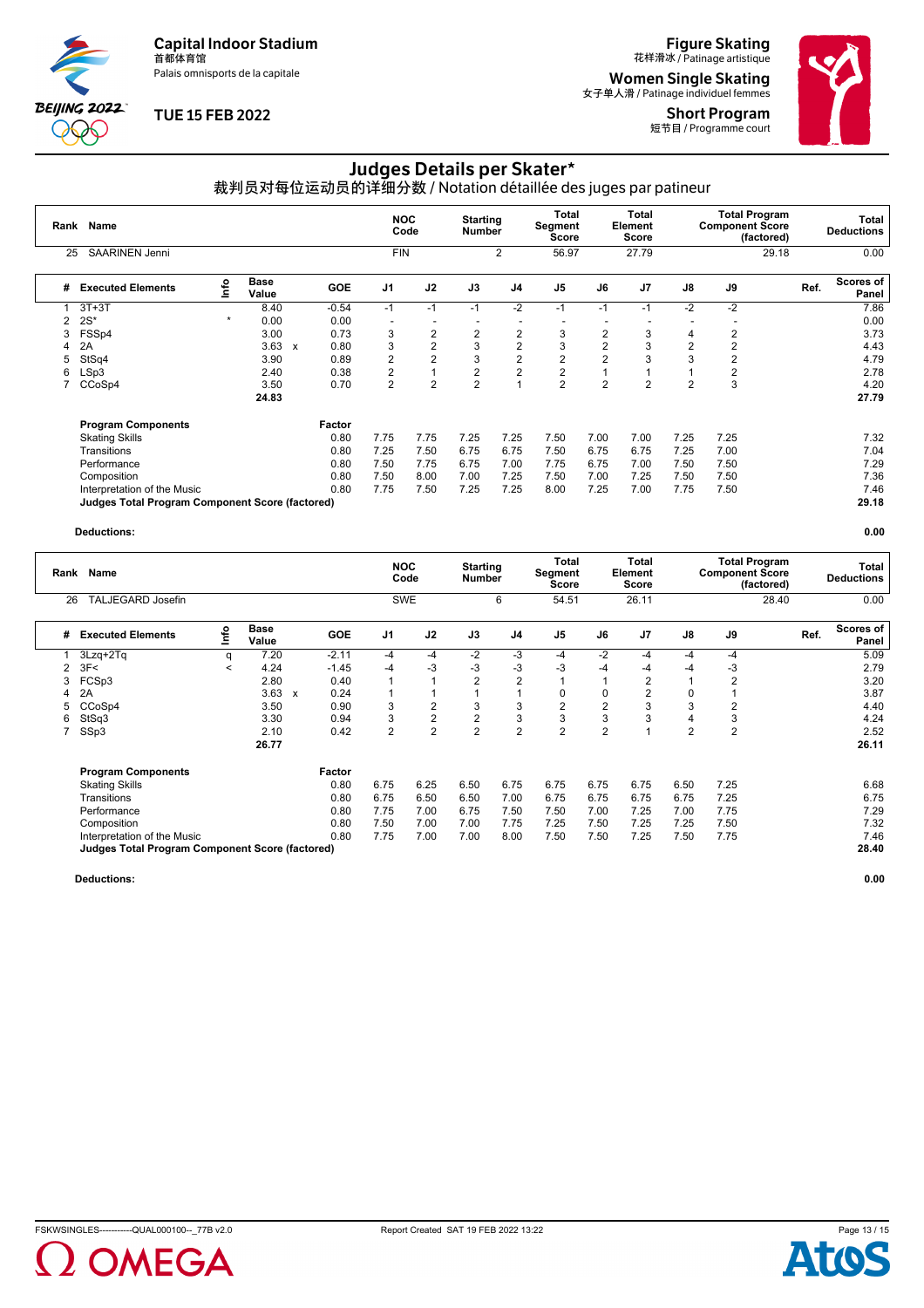Palais omnisports de la capitale

**BEIJING 2022** POO

### **TUE 15 FEB 2022**

**Figure Skating**<br>花样滑冰 / Patinage artistique

**Women Single Skating**<br><sub>女子单人滑 / Patinage individuel femmes</sub>

Short Program 短节目 / Programme court



# Judges Details per Skater\*

裁判员对每位运动员的详细分数 / Notation détaillée des juges par patineur

| Rank | Name                                            |         |                      |              |            | <b>NOC</b><br>Code |                |                          | <b>Starting</b><br><b>Number</b> |                | Total<br>Segment<br>Score | <b>Total</b><br>Element<br>Score |      | <b>Total Program</b><br><b>Component Score</b> | (factored) | Total<br><b>Deductions</b> |  |
|------|-------------------------------------------------|---------|----------------------|--------------|------------|--------------------|----------------|--------------------------|----------------------------------|----------------|---------------------------|----------------------------------|------|------------------------------------------------|------------|----------------------------|--|
| 25   | SAARINEN Jenni                                  |         |                      |              |            | <b>FIN</b>         |                |                          | $\overline{2}$                   | 56.97          |                           | 27.79                            |      |                                                | 29.18      | 0.00                       |  |
| #    | <b>Executed Elements</b>                        | Info    | <b>Base</b><br>Value |              | <b>GOE</b> | J <sub>1</sub>     | J2             | J3                       | J4                               | J <sub>5</sub> | J6                        | J <sub>7</sub>                   | J8   | J9                                             |            | Scores of<br>Ref.<br>Panel |  |
|      | $3T+3T$                                         |         | 8.40                 |              | $-0.54$    | $-1$               | $-1$           | $-1$                     | $-2$                             | $-1$           | $-1$                      | $-1$                             | $-2$ | $-2$                                           |            | 7.86                       |  |
|      | $2S^*$                                          | $\star$ | 0.00                 |              | 0.00       |                    |                | $\overline{\phantom{a}}$ | $\overline{\phantom{a}}$         |                |                           |                                  |      |                                                |            | 0.00                       |  |
| 3    | FSSp4                                           |         | 3.00                 |              | 0.73       | 3                  | $\overline{2}$ | 2                        | $\overline{2}$                   | 3              | $\overline{2}$            | 3                                | 4    | 2                                              |            | 3.73                       |  |
| 4    | 2A                                              |         | 3.63                 | $\mathsf{x}$ | 0.80       | 3                  | $\overline{2}$ | 3                        | $\overline{2}$                   | 3              | $\overline{2}$            | 3                                | 2    | $\overline{2}$                                 |            | 4.43                       |  |
| 5    | StSq4                                           |         | 3.90                 |              | 0.89       | $\overline{2}$     | $\overline{2}$ | 3                        | $\overline{2}$                   | 2              | $\overline{2}$            | 3                                | 3    | $\overline{2}$                                 |            | 4.79                       |  |
| 6    | LSp3                                            |         | 2.40                 |              | 0.38       | 2                  | $\overline{A}$ | 2                        | $\overline{2}$                   | 2              |                           |                                  |      | 2                                              |            | 2.78                       |  |
|      | CCoSp4                                          |         | 3.50                 |              | 0.70       | $\overline{2}$     | $\overline{2}$ | $\overline{2}$           |                                  | $\overline{2}$ | $\overline{2}$            | 2                                | 2    | 3                                              |            | 4.20                       |  |
|      |                                                 |         | 24.83                |              |            |                    |                |                          |                                  |                |                           |                                  |      |                                                |            | 27.79                      |  |
|      | <b>Program Components</b>                       |         |                      |              | Factor     |                    |                |                          |                                  |                |                           |                                  |      |                                                |            |                            |  |
|      | <b>Skating Skills</b>                           |         |                      |              | 0.80       | 7.75               | 7.75           | 7.25                     | 7.25                             | 7.50           | 7.00                      | 7.00                             | 7.25 | 7.25                                           |            | 7.32                       |  |
|      | Transitions                                     |         |                      |              | 0.80       | 7.25               | 7.50           | 6.75                     | 6.75                             | 7.50           | 6.75                      | 6.75                             | 7.25 | 7.00                                           |            | 7.04                       |  |
|      | Performance                                     |         |                      |              | 0.80       | 7.50               | 7.75           | 6.75                     | 7.00                             | 7.75           | 6.75                      | 7.00                             | 7.50 | 7.50                                           |            | 7.29                       |  |
|      | Composition                                     |         |                      |              | 0.80       | 7.50               | 8.00           | 7.00                     | 7.25                             | 7.50           | 7.00                      | 7.25                             | 7.50 | 7.50                                           |            | 7.36                       |  |
|      | Interpretation of the Music                     |         |                      |              | 0.80       | 7.75               | 7.50           | 7.25                     | 7.25                             | 8.00           | 7.25                      | 7.00                             | 7.75 | 7.50                                           |            | 7.46                       |  |
|      | Judges Total Program Component Score (factored) |         |                      |              |            |                    |                |                          |                                  |                |                           |                                  |      |                                                |            | 29.18                      |  |

#### **Deductions: 0.00**

|    | Name<br>Rank                                           |         |                      |   |            |                | <b>NOC</b><br>Code |                | <b>Starting</b><br><b>Number</b> |                | Total<br>Segment<br>Score | Total<br>Element<br><b>Score</b> |                | <b>Component Score</b> | <b>Total Program</b><br>(factored) | Total<br><b>Deductions</b> |  |
|----|--------------------------------------------------------|---------|----------------------|---|------------|----------------|--------------------|----------------|----------------------------------|----------------|---------------------------|----------------------------------|----------------|------------------------|------------------------------------|----------------------------|--|
| 26 | <b>TALJEGARD Josefin</b>                               |         |                      |   |            |                | SWE                |                | 6                                | 54.51          |                           | 26.11                            |                |                        | 28.40                              | 0.00                       |  |
| #  | <b>Executed Elements</b>                               | ۴o      | <b>Base</b><br>Value |   | <b>GOE</b> | J <sub>1</sub> | J2                 | J3             | J <sub>4</sub>                   | J <sub>5</sub> | J6                        | J <sub>7</sub>                   | J8             | J9                     |                                    | Scores of<br>Ref.<br>Panel |  |
|    | 3Lzq+2Tq                                               | q       | 7.20                 |   | $-2.11$    | $-4$           | $-4$               | $-2$           | $-3$                             | $-4$           | -2                        | $-4$                             | $-4$           | $-4$                   |                                    | 5.09                       |  |
| 2  | 3F<                                                    | $\,<\,$ | 4.24                 |   | $-1.45$    | $-4$           | $-3$               | $-3$           | $-3$                             | -3             | -4                        | -4                               | -4             | -3                     |                                    | 2.79                       |  |
| 3  | FCSp3                                                  |         | 2.80                 |   | 0.40       |                |                    | $\overline{2}$ | $\overline{2}$                   |                |                           | 2                                |                | 2                      |                                    | 3.20                       |  |
|    | 2A                                                     |         | 3.63                 | x | 0.24       |                |                    |                |                                  | 0              | 0                         | 2                                | 0              |                        |                                    | 3.87                       |  |
|    | CCoSp4                                                 |         | 3.50                 |   | 0.90       | 3              | 2                  | 3              | 3                                | $\overline{2}$ | $\overline{2}$            | 3                                | 3              | 2                      |                                    | 4.40                       |  |
| 6  | StSq3                                                  |         | 3.30                 |   | 0.94       | 3              | $\overline{2}$     | 2              | 3                                | 3              | 3                         | 3                                | 4              | 3                      |                                    | 4.24                       |  |
|    | SSp3                                                   |         | 2.10                 |   | 0.42       | $\overline{2}$ | $\overline{2}$     | $\overline{2}$ | $\overline{2}$                   | $\overline{2}$ | $\overline{2}$            |                                  | $\overline{2}$ | $\overline{2}$         |                                    | 2.52                       |  |
|    |                                                        |         | 26.77                |   |            |                |                    |                |                                  |                |                           |                                  |                |                        |                                    | 26.11                      |  |
|    | <b>Program Components</b>                              |         |                      |   | Factor     |                |                    |                |                                  |                |                           |                                  |                |                        |                                    |                            |  |
|    | <b>Skating Skills</b>                                  |         |                      |   | 0.80       | 6.75           | 6.25               | 6.50           | 6.75                             | 6.75           | 6.75                      | 6.75                             | 6.50           | 7.25                   |                                    | 6.68                       |  |
|    | Transitions                                            |         |                      |   | 0.80       | 6.75           | 6.50               | 6.50           | 7.00                             | 6.75           | 6.75                      | 6.75                             | 6.75           | 7.25                   |                                    | 6.75                       |  |
|    | Performance                                            |         |                      |   | 0.80       | 7.75           | 7.00               | 6.75           | 7.50                             | 7.50           | 7.00                      | 7.25                             | 7.00           | 7.75                   |                                    | 7.29                       |  |
|    | Composition                                            |         |                      |   | 0.80       | 7.50           | 7.00               | 7.00           | 7.75                             | 7.25           | 7.50                      | 7.25                             | 7.25           | 7.50                   |                                    | 7.32                       |  |
|    | Interpretation of the Music                            |         |                      |   | 0.80       | 7.75           | 7.00               | 7.00           | 8.00                             | 7.50           | 7.50                      | 7.25                             | 7.50           | 7.75                   |                                    | 7.46                       |  |
|    | <b>Judges Total Program Component Score (factored)</b> |         |                      |   |            |                |                    |                |                                  |                |                           |                                  |                |                        |                                    | 28.40                      |  |



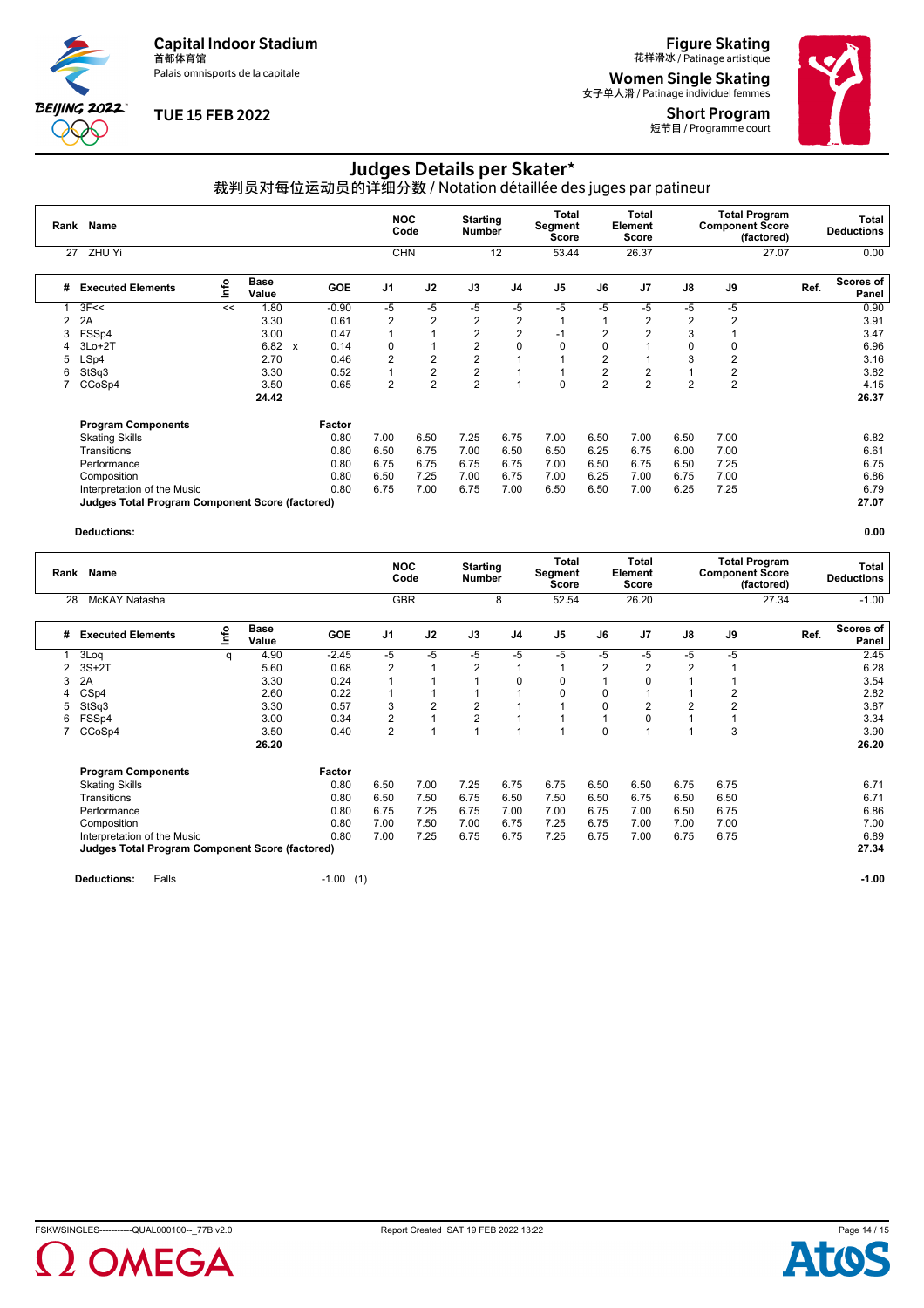Palais omnisports de la capitale

**BEIJING 2022**  $\infty$ 

# **TUE 15 FEB 2022**

# **Figure Skating**<br>花样滑冰 / Patinage artistique

**Women Single Skating**<br><sub>女子单人滑 / Patinage individuel femmes</sub>

Short Program 短节目 / Programme court



# Judges Details per Skater\*

裁判员对每位运动员的详细分数 / Notation détaillée des juges par patineur

| Rank | Name                                                   |                                  |                      |              |            | <b>NOC</b>     | Code                    | <b>Starting</b><br><b>Number</b> |                | Total<br>Segment<br><b>Score</b> |                | <b>Total</b><br>Element<br>Score |                | <b>Total Program</b><br><b>Component Score</b> | (factored) | Total<br><b>Deductions</b> |
|------|--------------------------------------------------------|----------------------------------|----------------------|--------------|------------|----------------|-------------------------|----------------------------------|----------------|----------------------------------|----------------|----------------------------------|----------------|------------------------------------------------|------------|----------------------------|
| 27   | ZHU Yi                                                 |                                  |                      |              |            | <b>CHN</b>     |                         |                                  | 12             | 53.44                            |                | 26.37                            |                |                                                | 27.07      | 0.00                       |
| #    | <b>Executed Elements</b>                               | $\mathop{\mathsf{Irr}}\nolimits$ | <b>Base</b><br>Value |              | <b>GOE</b> | J <sub>1</sub> | J2                      | J3                               | J4             | J <sub>5</sub>                   | J6             | J <sub>7</sub>                   | J8             | J9                                             | Ref.       | Scores of<br>Panel         |
|      | 3F<<                                                   | <<                               | 1.80                 |              | $-0.90$    | -5             | -5                      | -5                               | $-5$           | $-5$                             | -5             | -5                               | $-5$           | $-5$                                           |            | 0.90                       |
|      | 2A                                                     |                                  | 3.30                 |              | 0.61       | 2              | $\overline{2}$          | $\overline{2}$                   | $\overline{2}$ |                                  |                | 2                                | $\overline{2}$ | 2                                              |            | 3.91                       |
|      | FSSp4                                                  |                                  | 3.00                 |              | 0.47       |                |                         | $\overline{2}$                   | $\overline{2}$ | $-1$                             | 2              | $\overline{2}$                   | 3              |                                                |            | 3.47                       |
|      | $3Lo+2T$                                               |                                  | 6.82                 | $\mathbf{x}$ | 0.14       | 0              |                         | 2                                | 0              | 0                                | 0              |                                  | 0              | 0                                              |            | 6.96                       |
| 5    | LSp4                                                   |                                  | 2.70                 |              | 0.46       | $\overline{2}$ | $\overline{2}$          | $\overline{2}$                   |                |                                  | 2              |                                  | 3              | 2                                              |            | 3.16                       |
| 6    | StSq3                                                  |                                  | 3.30                 |              | 0.52       |                | $\overline{\mathbf{c}}$ | 2                                |                |                                  | 2              | 2                                |                | 2                                              |            | 3.82                       |
|      | CCoSp4                                                 |                                  | 3.50                 |              | 0.65       | $\overline{2}$ | $\overline{2}$          | $\overline{2}$                   |                | 0                                | $\overline{2}$ | $\overline{2}$                   | $\overline{2}$ | $\overline{2}$                                 |            | 4.15                       |
|      |                                                        |                                  | 24.42                |              |            |                |                         |                                  |                |                                  |                |                                  |                |                                                |            | 26.37                      |
|      | <b>Program Components</b>                              |                                  |                      |              | Factor     |                |                         |                                  |                |                                  |                |                                  |                |                                                |            |                            |
|      | <b>Skating Skills</b>                                  |                                  |                      |              | 0.80       | 7.00           | 6.50                    | 7.25                             | 6.75           | 7.00                             | 6.50           | 7.00                             | 6.50           | 7.00                                           |            | 6.82                       |
|      | Transitions                                            |                                  |                      |              | 0.80       | 6.50           | 6.75                    | 7.00                             | 6.50           | 6.50                             | 6.25           | 6.75                             | 6.00           | 7.00                                           |            | 6.61                       |
|      | Performance                                            |                                  |                      |              | 0.80       | 6.75           | 6.75                    | 6.75                             | 6.75           | 7.00                             | 6.50           | 6.75                             | 6.50           | 7.25                                           |            | 6.75                       |
|      | Composition                                            |                                  |                      |              | 0.80       | 6.50           | 7.25                    | 7.00                             | 6.75           | 7.00                             | 6.25           | 7.00                             | 6.75           | 7.00                                           |            | 6.86                       |
|      | Interpretation of the Music                            |                                  |                      |              | 0.80       | 6.75           | 7.00                    | 6.75                             | 7.00           | 6.50                             | 6.50           | 7.00                             | 6.25           | 7.25                                           |            | 6.79                       |
|      | <b>Judges Total Program Component Score (factored)</b> |                                  |                      |              |            |                |                         |                                  |                |                                  |                |                                  |                |                                                |            | 27.07                      |

#### **Deductions: 0.00**

| Rank | Name                                                   |    |                      |            | <b>NOC</b><br>Code |            |      | <b>Starting</b><br><b>Number</b> |                | Total<br>Segment<br>Score | <b>Total</b><br>Element<br>Score |      | <b>Component Score</b> | <b>Total Program</b><br>(factored) | Total<br><b>Deductions</b> |  |
|------|--------------------------------------------------------|----|----------------------|------------|--------------------|------------|------|----------------------------------|----------------|---------------------------|----------------------------------|------|------------------------|------------------------------------|----------------------------|--|
| 28   | McKAY Natasha                                          |    |                      |            |                    | <b>GBR</b> |      | 8                                | 52.54          |                           | 26.20                            |      |                        | 27.34                              | $-1.00$                    |  |
| #    | <b>Executed Elements</b>                               | ۴o | <b>Base</b><br>Value | <b>GOE</b> | J <sub>1</sub>     | J2         | J3   | J <sub>4</sub>                   | J <sub>5</sub> | J6                        | J <sub>7</sub>                   | J8   | J9                     | Ref.                               | <b>Scores of</b><br>Panel  |  |
|      | 3Log                                                   | q  | 4.90                 | $-2.45$    | -5                 | $-5$       | -5   | -5                               | $-5$           | -5                        | -5                               | -5   | -5                     |                                    | 2.45                       |  |
| 2    | $3S+2T$                                                |    | 5.60                 | 0.68       | $\overline{2}$     |            | 2    |                                  |                | 2                         | $\overline{2}$                   |      |                        |                                    | 6.28                       |  |
| 3    | 2A                                                     |    | 3.30                 | 0.24       |                    |            |      | $\Omega$                         | 0              |                           | $\Omega$                         |      |                        |                                    | 3.54                       |  |
|      | CS <sub>p4</sub>                                       |    | 2.60                 | 0.22       |                    |            |      |                                  | $\Omega$       | 0                         |                                  |      | 2                      |                                    | 2.82                       |  |
| 5    | StSq3                                                  |    | 3.30                 | 0.57       | 3                  | 2          | 2    |                                  |                | $\mathbf 0$               | 2                                |      | $\overline{2}$         |                                    | 3.87                       |  |
| 6    | FSSp4                                                  |    | 3.00                 | 0.34       | $\overline{2}$     |            | 2    |                                  |                |                           | 0                                |      |                        |                                    | 3.34                       |  |
|      | CCoSp4                                                 |    | 3.50                 | 0.40       | $\overline{2}$     |            |      |                                  |                | $\Omega$                  |                                  |      | 3                      |                                    | 3.90                       |  |
|      |                                                        |    | 26.20                |            |                    |            |      |                                  |                |                           |                                  |      |                        |                                    | 26.20                      |  |
|      | <b>Program Components</b>                              |    |                      | Factor     |                    |            |      |                                  |                |                           |                                  |      |                        |                                    |                            |  |
|      | <b>Skating Skills</b>                                  |    |                      | 0.80       | 6.50               | 7.00       | 7.25 | 6.75                             | 6.75           | 6.50                      | 6.50                             | 6.75 | 6.75                   |                                    | 6.71                       |  |
|      | Transitions                                            |    |                      | 0.80       | 6.50               | 7.50       | 6.75 | 6.50                             | 7.50           | 6.50                      | 6.75                             | 6.50 | 6.50                   |                                    | 6.71                       |  |
|      | Performance                                            |    |                      | 0.80       | 6.75               | 7.25       | 6.75 | 7.00                             | 7.00           | 6.75                      | 7.00                             | 6.50 | 6.75                   |                                    | 6.86                       |  |
|      | Composition                                            |    |                      | 0.80       | 7.00               | 7.50       | 7.00 | 6.75                             | 7.25           | 6.75                      | 7.00                             | 7.00 | 7.00                   |                                    | 7.00                       |  |
|      | Interpretation of the Music                            |    |                      | 0.80       | 7.00               | 7.25       | 6.75 | 6.75                             | 7.25           | 6.75                      | 7.00                             | 6.75 | 6.75                   |                                    | 6.89                       |  |
|      | <b>Judges Total Program Component Score (factored)</b> |    |                      |            |                    |            |      |                                  |                |                           |                                  |      |                        |                                    | 27.34                      |  |
|      |                                                        |    |                      |            |                    |            |      |                                  |                |                           |                                  |      |                        |                                    |                            |  |

**Deductions:** Falls **-1.00** (1) **-1.00 -1.00 -1.00 -1.00 -1.00 -1.00 -1.00 -1.00 -1.00 -1.00 -1.00**